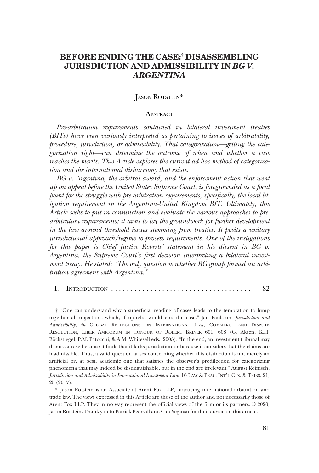# **BEFORE ENDING THE CASE:† DISASSEMBLING JURISDICTION AND ADMISSIBILITY IN** *BG V. ARGENTINA*

## JASON ROTSTEIN\*

#### **ABSTRACT**

*Pre-arbitration requirements contained in bilateral investment treaties (BITs) have been variously interpreted as pertaining to issues of arbitrability, procedure, jurisdiction, or admissibility. That categorization—getting the categorization right—can determine the outcome of when and whether a case reaches the merits. This Article explores the current ad hoc method of categorization and the international disharmony that exists.* 

*BG v. Argentina, the arbitral award, and the enforcement action that went up on appeal before the United States Supreme Court, is foregrounded as a focal point for the struggle with pre-arbitration requirements, specifcally, the local litigation requirement in the Argentina-United Kingdom BIT. Ultimately, this Article seeks to put in conjunction and evaluate the various approaches to prearbitration requirements; it aims to lay the groundwork for further development in the law around threshold issues stemming from treaties. It posits a unitary jurisdictional approach/regime to process requirements. One of the instigations for this paper is Chief Justice Roberts' statement in his dissent in BG v. Argentina, the Supreme Court's frst decision interpreting a bilateral investment treaty. He stated: "The only question is whether BG group formed an arbitration agreement with Argentina."* 

| <b>INTRODUCTION</b> |  |
|---------------------|--|
|---------------------|--|

<sup>&</sup>quot;One can understand why a superfcial reading of cases leads to the temptation to lump † together all objections which, if upheld, would end the case." Jan Paulsson, *Jurisdiction and Admissibility*, *in* GLOBAL REFLECTIONS ON INTERNATIONAL LAW, COMMERCE AND DISPUTE RESOLUTION, LIBER AMICORUM IN HONOUR OF ROBERT BRINER 601, 608 (G. Aksen, K.H. Böckstiegel, P.M. Patocchi, & A.M. Whitesell eds., 2005). "In the end, an investment tribunal may dismiss a case because it fnds that it lacks jurisdiction or because it considers that the claims are inadmissible. Thus, a valid question arises concerning whether this distinction is not merely an artifcial or, at best, academic one that satisfes the observer's predilection for categorizing phenomena that may indeed be distinguishable, but in the end are irrelevant." August Reinisch, *Jurisdiction and Admissibility in International Investment Law*, 16 LAW & PRAC. INT'L CTS. & TRIBS. 21, 25 (2017).

<sup>\*</sup> Jason Rotstein is an Associate at Arent Fox LLP, practicing international arbitration and trade law. The views expressed in this Article are those of the author and not necessarily those of Arent Fox LLP. They in no way represent the official views of the firm or its partners.  $© 2020$ , Jason Rotstein. Thank you to Patrick Pearsall and Can Yeginsu for their advice on this article.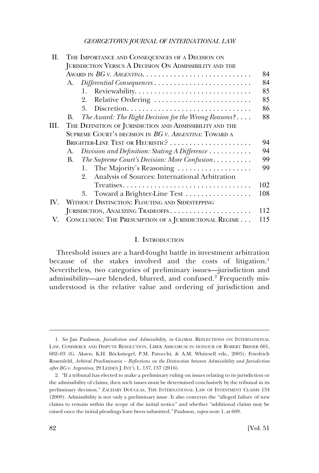<span id="page-1-0"></span>

| Н.   | THE IMPORTANCE AND CONSEQUENCES OF A DECISION ON           |     |
|------|------------------------------------------------------------|-----|
|      | JURISDICTION VERSUS A DECISION ON ADMISSIBILITY AND THE    |     |
|      |                                                            | 84  |
|      | A.                                                         | 84  |
|      | 1.                                                         | 85  |
|      | Relative Ordering<br>2.                                    | 85  |
|      | 3.                                                         | 86  |
|      | The Award: The Right Decision for the Wrong Reasons?<br>В. | 88  |
| III. | THE DEFINITION OF JURISDICTION AND ADMISSIBILITY AND THE   |     |
|      | SUPREME COURT'S DECISION IN BG V. ARGENTINA: TOWARD A      |     |
|      | BRIGHTER-LINE TEST OR HEURISTIC?                           | 94  |
|      | Division and Definition: Stating A Difference<br>A.        | 94  |
|      | The Supreme Court's Decision: More Confusion<br>В.         | 99  |
|      | 1. The Majority's Reasoning                                | 99  |
|      | Analysis of Sources: International Arbitration<br>2.       |     |
|      |                                                            | 102 |
|      | Toward a Brighter-Line Test<br>3.                          | 108 |
| IV.  | WITHOUT DISTINCTION: FLOUTING AND SIDESTEPPING             |     |
|      | JURISDICTION, ANALYZING TRADEOFFS                          | 112 |
| V.   | CONCLUSION: THE PRESUMPTION OF A JURISDICTIONAL REGIME     | 115 |

## I. INTRODUCTION

Threshold issues are a hard-fought battle in investment arbitration because of the stakes involved and the costs of litigation.<sup>1</sup> Nevertheless, two categories of preliminary issues—jurisdiction and admissibility—are blended, blurred, and confused.2 Frequently misunderstood is the relative value and ordering of jurisdiction and

<sup>1.</sup> *See* Jan Paulsson, *Jurisdiction and Admissibility*, *in* GLOBAL REFLECTIONS ON INTERNATIONAL LAW, COMMERCE AND DISPUTE RESOLUTION, LIBER AMICORUM IN HONOUR OF ROBERT BRINER 601, 602-03 (G. Aksen, K.H. Böckstiegel, P.M. Patocchi, & A.M. Whitesell eds., 2005); Friedrich Rosenfeld, *Arbitral Praeliminaria – Refections on the Distinction between Admissibility and Jurisdiction after BG v. Argentina*, 29 LEIDEN J. INT'L L. 137, 137 (2016).

<sup>2. &</sup>quot;If a tribunal has elected to make a preliminary ruling on issues relating to its jurisdiction or the admissibility of claims, then such issues must be determined conclusively by the tribunal in its preliminary decision." ZACHARY DOUGLAS, THE INTERNATIONAL LAW OF INVESTMENT CLAIMS 134 (2009). Admissibility is not only a preliminary issue. It also concerns the "alleged failure of new claims to remain within the scope of the initial notice" and whether "additional claims may be raised once the initial pleadings have been submitted." Paulsson, *supra* note 1, at 609.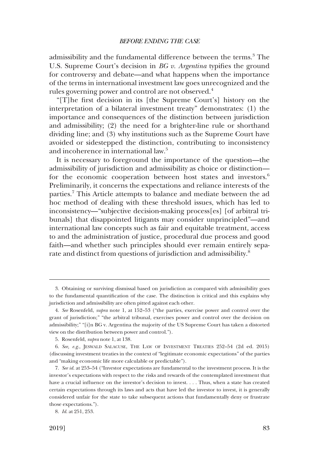admissibility and the fundamental difference between the terms.<sup>3</sup> The U.S. Supreme Court's decision in *BG v. Argentina* typifies the ground for controversy and debate—and what happens when the importance of the terms in international investment law goes unrecognized and the rules governing power and control are not observed.<sup>4</sup>

"[T]he frst decision in its [the Supreme Court's] history on the interpretation of a bilateral investment treaty" demonstrates: (1) the importance and consequences of the distinction between jurisdiction and admissibility; (2) the need for a brighter-line rule or shorthand dividing line; and (3) why institutions such as the Supreme Court have avoided or sidestepped the distinction, contributing to inconsistency and incoherence in international law.5

It is necessary to foreground the importance of the question—the admissibility of jurisdiction and admissibility as choice or distinction for the economic cooperation between host states and investors.<sup>6</sup> Preliminarily, it concerns the expectations and reliance interests of the parties.7 This Article attempts to balance and mediate between the ad hoc method of dealing with these threshold issues, which has led to inconsistency—"subjective decision-making process[es] [of arbitral tribunals] that disappointed litigants may consider unprincipled"—and international law concepts such as fair and equitable treatment, access to and the administration of justice, procedural due process and good faith—and whether such principles should ever remain entirely separate and distinct from questions of jurisdiction and admissibility.<sup>8</sup>

<sup>3.</sup> Obtaining or surviving dismissal based on jurisdiction as compared with admissibility goes to the fundamental quantifcation of the case. The distinction is critical and this explains why jurisdiction and admissibility are often pitted against each other.

<sup>4.</sup> *See* Rosenfeld, *supra* note 1, at 152–53 ("the parties, exercise power and control over the grant of jurisdiction;" "the arbitral tribunal, exercises power and control over the decision on admissibility;" "[i]n BG v. Argentina the majority of the US Supreme Court has taken a distorted view on the distribution between power and control.").

<sup>5.</sup> Rosenfeld, *supra* note 1, at 138.

<sup>6.</sup> *See, e.g*., JESWALD SALACUSE, THE LAW OF INVESTMENT TREATIES 252–54 (2d ed. 2015) (discussing investment treaties in the context of "legitimate economic expectations" of the parties and "making economic life more calculable or predictable").

<sup>7.</sup> *See id*. at 253–54 ("Investor expectations are fundamental to the investment process. It is the investor's expectations with respect to the risks and rewards of the contemplated investment that have a crucial infuence on the investor's decision to invest. . . . Thus, when a state has created certain expectations through its laws and acts that have led the investor to invest, it is generally considered unfair for the state to take subsequent actions that fundamentally deny or frustrate those expectations.").

<sup>8.</sup> *Id*. at 251, 253.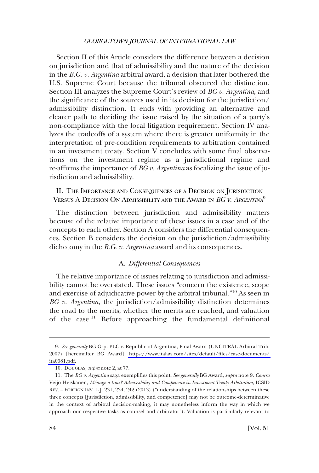<span id="page-3-0"></span>Section II of this Article considers the difference between a decision on jurisdiction and that of admissibility and the nature of the decision in the *B.G. v. Argentina* arbitral award, a decision that later bothered the U.S. Supreme Court because the tribunal obscured the distinction. Section III analyzes the Supreme Court's review of *BG v. Argentina*, and the signifcance of the sources used in its decision for the jurisdiction/ admissibility distinction. It ends with providing an alternative and clearer path to deciding the issue raised by the situation of a party's non-compliance with the local litigation requirement. Section IV analyzes the tradeoffs of a system where there is greater uniformity in the interpretation of pre-condition requirements to arbitration contained in an investment treaty. Section V concludes with some fnal observations on the investment regime as a jurisdictional regime and re-affrms the importance of *BG v. Argentina* as focalizing the issue of jurisdiction and admissibility.

II. THE IMPORTANCE AND CONSEQUENCES OF A DECISION ON JURISDICTION VERSUS A DECISION ON ADMISSIBILITY AND THE AWARD IN *BG V. ARGENTINA*<sup>9</sup>

The distinction between jurisdiction and admissibility matters because of the relative importance of these issues in a case and of the concepts to each other. Section A considers the differential consequences. Section B considers the decision on the jurisdiction/admissibility dichotomy in the *B.G. v. Argentina* award and its consequences.

## A. *Differential Consequences*

The relative importance of issues relating to jurisdiction and admissibility cannot be overstated. These issues "concern the existence, scope and exercise of adjudicative power by the arbitral tribunal."10 As seen in *BG v. Argentina*, the jurisdiction/admissibility distinction determines the road to the merits, whether the merits are reached, and valuation of the case.11 Before approaching the fundamental defnitional

*See generally* BG Grp. PLC v. Republic of Argentina, Final Award (UNCITRAL Arbitral Trib. 9. 2007) [hereinafter BG Award], [https://www.italaw.com/sites/default/fles/case-documents/](https://www.italaw.com/sites/default/files/case-documents/ita0081.pdf)  [ita0081.pdf](https://www.italaw.com/sites/default/files/case-documents/ita0081.pdf).

<sup>10.</sup> DOUGLAS, *supra* note 2, at 77.

<sup>11.</sup> The *BG v. Argentina* saga exemplifes this point. *See generally* BG Award, *supra* note 9. *Contra*  Veijo Heiskanen, *Me´nage a` trois? Admissibility and Competence in Investment Treaty Arbitration*, ICSID REV. – FOREIGN INV. L.J. 231, 234, 242 (2013) ("understanding of the relationships between these three concepts [jurisdiction, admissibility, and competence] may not be outcome-determinative in the context of arbitral decision-making, it may nonetheless inform the way in which we approach our respective tasks as counsel and arbitrator"). Valuation is particularly relevant to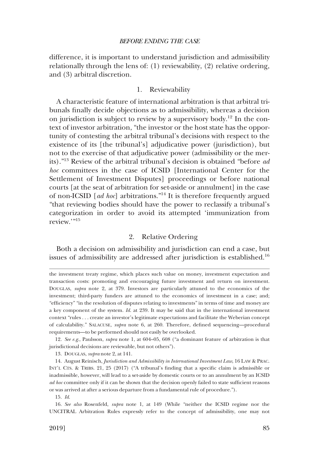<span id="page-4-0"></span>difference, it is important to understand jurisdiction and admissibility relationally through the lens of: (1) reviewability, (2) relative ordering, and (3) arbitral discretion.

#### 1. Reviewability

A characteristic feature of international arbitration is that arbitral tribunals fnally decide objections as to admissibility, whereas a decision on jurisdiction is subject to review by a supervisory body.<sup>12</sup> In the context of investor arbitration, "the investor or the host state has the opportunity of contesting the arbitral tribunal's decisions with respect to the existence of its [the tribunal's] adjudicative power (jurisdiction), but not to the exercise of that adjudicative power (admissibility or the merits)."13 Review of the arbitral tribunal's decision is obtained "before *ad hoc* committees in the case of ICSID [International Center for the Settlement of Investment Disputes] proceedings or before national courts [at the seat of arbitration for set-aside or annulment] in the case of non-ICSID [*ad hoc*] arbitrations."14 It is therefore frequently argued "that reviewing bodies should have the power to reclassify a tribunal's categorization in order to avoid its attempted 'immunization from review.'"15

#### 2. Relative Ordering

Both a decision on admissibility and jurisdiction can end a case, but issues of admissibility are addressed after jurisdiction is established.<sup>16</sup>

12. *See e.g*., Paulsson, *supra* note 1, at 604–05, 608 ("a dominant feature of arbitration is that jurisdictional decisions are reviewable, but not others").

13. DOUGLAS, *supra* note 2, at 141.

14. August Reinisch, *Jurisdiction and Admissibility in International Investment Law*, 16 LAW & PRAC. INT'L CTS. & TRIBS. 21, 25 (2017) ("A tribunal's fnding that a specifc claim is admissible or inadmissible, however, will lead to a set-aside by domestic courts or to an annulment by an ICSID *ad hoc* committee only if it can be shown that the decision openly failed to state sufficient reasons or was arrived at after a serious departure from a fundamental rule of procedure.").

15. *Id*.

16. *See also* Rosenfeld, *supra* note 1, at 149 (While "neither the ICSID regime nor the UNCITRAL Arbitration Rules expressly refer to the concept of admissibility, one may not

the investment treaty regime, which places such value on money, investment expectation and transaction costs: promoting and encouraging future investment and return on investment. DOUGLAS, *supra* note 2, at 379. Investors are particularly attuned to the economics of the investment; third-party funders are attuned to the economics of investment in a case; and; "effciency" "in the resolution of disputes relating to investments" in terms of time and money are a key component of the system. *Id*. at 239. It may be said that in the international investment context "rules . . . create an investor's legitimate expectations and facilitate the Weberian concept of calculability." SALACUSE, *supra* note 6, at 260. Therefore, defned sequencing—procedural requirements—to be performed should not easily be overlooked.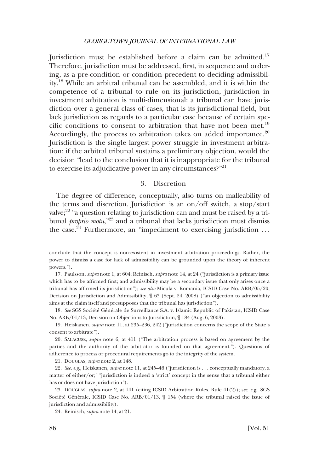<span id="page-5-0"></span>Jurisdiction must be established before a claim can be admitted.<sup>17</sup> Therefore, jurisdiction must be addressed, frst, in sequence and ordering, as a pre-condition or condition precedent to deciding admissibility.18 While an arbitral tribunal can be assembled, and it is within the competence of a tribunal to rule on its jurisdiction, jurisdiction in investment arbitration is multi-dimensional: a tribunal can have jurisdiction over a general class of cases, that is its jurisdictional feld, but lack jurisdiction as regards to a particular case because of certain specific conditions to consent to arbitration that have not been met.<sup>19</sup> Accordingly, the process to arbitration takes on added importance.<sup>20</sup> Jurisdiction is the single largest power struggle in investment arbitration: if the arbitral tribunal sustains a preliminary objection, would the decision "lead to the conclusion that it is inappropriate for the tribunal to exercise its adjudicative power in any circumstances? $"^{21}$ 

## 3. Discretion

The degree of difference, conceptually, also turns on malleability of the terms and discretion. Jurisdiction is an on/off switch, a stop/start valve; $2^2$  "a question relating to jurisdiction can and must be raised by a tribunal *proprio motu*,"<sup>23</sup> and a tribunal that lacks jurisdiction must dismiss the case.<sup>24</sup> Furthermore, an "impediment to exercising jurisdiction ...

18. See SGS Société Générale de Surveillance S.A. v. Islamic Republic of Pakistan, ICSID Case No. ARB/01/13, Decision on Objections to Jurisdiction, ¶ 184 (Aug. 6, 2003).

19. Heiskanen, *supra* note 11, at 235–236, 242 ("jurisdiction concerns the scope of the State's consent to arbitrate").

21. DOUGLAS, *supra* note 2, at 148.

22. *See*, *e.g*., Heiskanen, *supra* note 11, at 245–46 ("jurisdiction is . . . conceptually mandatory, a matter of either/or;" "jurisdiction is indeed a 'strict' concept in the sense that a tribunal either has or does not have jurisdiction").

23. DOUGLAS, *supra* note 2, at 141 (citing ICSID Arbitration Rules, Rule 41(2)); s*ee, e.g*., SGS Société Générale, ICSID Case No.  $ARB/01/13$ ,  $\parallel$  154 (where the tribunal raised the issue of jurisdiction and admissibility).

conclude that the concept is non-existent in investment arbitration proceedings. Rather, the power to dismiss a case for lack of admissibility can be grounded upon the theory of inherent powers.").

<sup>17.</sup> Paulsson, *supra* note 1, at 604; Reinisch, *supra* note 14, at 24 ("jurisdiction is a primary issue which has to be affrmed frst; and admissibility may be a secondary issue that only arises once a tribunal has affrmed its jurisdiction"); *see also* Micula v. Romania, ICSID Case No. ARB/05/20, Decision on Jurisdiction and Admissibility, ¶ 63 (Sept. 24, 2008) ("an objection to admissibility aims at the claim itself and presupposes that the tribunal has jurisdiction").

<sup>20.</sup> SALACUSE, *supra* note 6, at 411 ("The arbitration process is based on agreement by the parties and the authority of the arbitrator is founded on that agreement."). Questions of adherence to process or procedural requirements go to the integrity of the system.

<sup>24.</sup> Reinisch, *supra* note 14, at 21.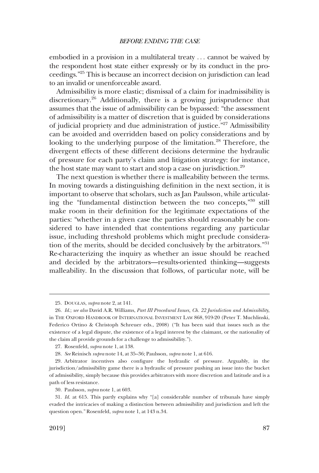embodied in a provision in a multilateral treaty . . . cannot be waived by the respondent host state either expressly or by its conduct in the proceedings."25 This is because an incorrect decision on jurisdiction can lead to an invalid or unenforceable award.

Admissibility is more elastic; dismissal of a claim for inadmissibility is discretionary.26 Additionally, there is a growing jurisprudence that assumes that the issue of admissibility can be bypassed: "the assessment of admissibility is a matter of discretion that is guided by considerations of judicial propriety and due administration of justice."<sup>27</sup> Admissibility can be avoided and overridden based on policy considerations and by looking to the underlying purpose of the limitation.<sup>28</sup> Therefore, the divergent effects of these different decisions determine the hydraulic of pressure for each party's claim and litigation strategy: for instance, the host state may want to start and stop a case on jurisdiction.<sup>29</sup>

The next question is whether there is malleability between the terms. In moving towards a distinguishing defnition in the next section, it is important to observe that scholars, such as Jan Paulsson, while articulating the "fundamental distinction between the two concepts,"30 still make room in their defnition for the legitimate expectations of the parties: "whether in a given case the parties should reasonably be considered to have intended that contentions regarding any particular issue, including threshold problems which might preclude consideration of the merits, should be decided conclusively by the arbitrators."<sup>31</sup> Re-characterizing the inquiry as whether an issue should be reached and decided by the arbitrators—results-oriented thinking—suggests malleability. In the discussion that follows, of particular note, will be

<sup>25.</sup> DOUGLAS, *supra* note 2, at 141.

<sup>26.</sup> *Id*.; *see also* David A.R. Williams, *Part III Procedural Issues, Ch. 22 Jurisdiction and Admissibility*, in THE OXFORD HANDBOOK OF INTERNATIONAL INVESTMENT LAW 868, 919-20 (Peter T. Muchlinski, Federico Ortino & Christoph Schreuer eds., 2008) ("It has been said that issues such as the existence of a legal dispute, the existence of a legal interest by the claimant, or the nationality of the claim all provide grounds for a challenge to admissibility.").

<sup>27.</sup> Rosenfeld, *supra* note 1, at 138.

<sup>28.</sup> *See* Reinisch *supra* note 14, at 35–36; Paulsson, *supra* note 1, at 616.

<sup>29.</sup> Arbitrator incentives also confgure the hydraulic of pressure. Arguably, in the jurisdiction/admissibility game there is a hydraulic of pressure pushing an issue into the bucket of admissibility, simply because this provides arbitrators with more discretion and latitude and is a path of less resistance.

<sup>30.</sup> Paulsson, *supra* note 1, at 603.

<sup>31.</sup> *Id*. at 615. This partly explains why "[a] considerable number of tribunals have simply evaded the intricacies of making a distinction between admissibility and jurisdiction and left the question open." Rosenfeld, *supra* note 1, at 143 n.34.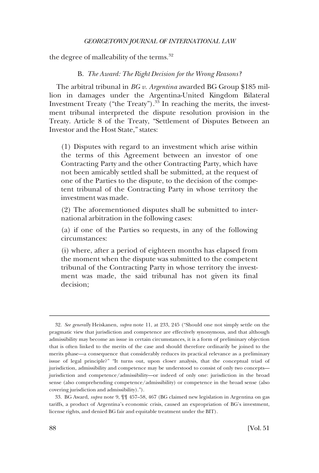<span id="page-7-0"></span>the degree of malleability of the terms.<sup>32</sup>

#### B. *The Award: The Right Decision for the Wrong Reasons?*

The arbitral tribunal in *BG v. Argentina* awarded BG Group \$185 million in damages under the Argentina-United Kingdom Bilateral Investment Treaty ("the Treaty").33 In reaching the merits, the investment tribunal interpreted the dispute resolution provision in the Treaty. Article 8 of the Treaty, "Settlement of Disputes Between an Investor and the Host State," states:

(1) Disputes with regard to an investment which arise within the terms of this Agreement between an investor of one Contracting Party and the other Contracting Party, which have not been amicably settled shall be submitted, at the request of one of the Parties to the dispute, to the decision of the competent tribunal of the Contracting Party in whose territory the investment was made.

(2) The aforementioned disputes shall be submitted to international arbitration in the following cases:

(a) if one of the Parties so requests, in any of the following circumstances:

(i) where, after a period of eighteen months has elapsed from the moment when the dispute was submitted to the competent tribunal of the Contracting Party in whose territory the investment was made, the said tribunal has not given its fnal decision;

<sup>32.</sup> *See generally* Heiskanen, *supra* note 11, at 233, 245 ("Should one not simply settle on the pragmatic view that jurisdiction and competence are effectively synonymous, and that although admissibility may become an issue in certain circumstances, it is a form of preliminary objection that is often linked to the merits of the case and should therefore ordinarily be joined to the merits phase—a consequence that considerably reduces its practical relevance as a preliminary issue of legal principle?" "It turns out, upon closer analysis, that the conceptual triad of jurisdiction, admissibility and competence may be understood to consist of only two concepts jurisdiction and competence/admissibility—or indeed of only one: jurisdiction in the broad sense (also comprehending competence/admissibility) or competence in the broad sense (also covering jurisdiction and admissibility).").

<sup>33.</sup> BG Award, *supra* note 9, ¶¶ 457–58, 467 (BG claimed new legislation in Argentina on gas tariffs, a product of Argentina's economic crisis, caused an expropriation of BG's investment, license rights, and denied BG fair and equitable treatment under the BIT).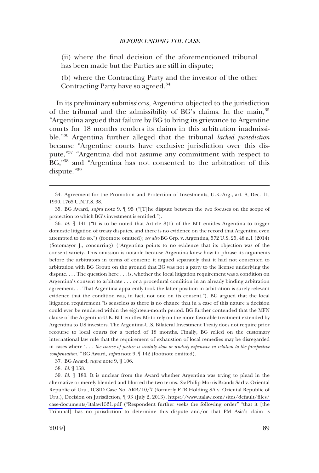(ii) where the fnal decision of the aforementioned tribunal has been made but the Parties are still in dispute;

(b) where the Contracting Party and the investor of the other Contracting Party have so agreed.<sup>34</sup>

In its preliminary submissions, Argentina objected to the jurisdiction of the tribunal and the admissibility of BG's claims. In the main, <sup>35</sup> "Argentina argued that failure by BG to bring its grievance to Argentine courts for 18 months renders its claims in this arbitration inadmissible."36 Argentina further alleged that the tribunal *lacked jurisdiction*  because "Argentine courts have exclusive jurisdiction over this dispute,"37 "Argentina did not assume any commitment with respect to BG,"38 and "Argentina has not consented to the arbitration of this dispute."39

36. *Id*. ¶ 141 ("It is to be noted that Article 8(1) of the BIT entitles Argentina to trigger domestic litigation of treaty disputes, and there is no evidence on the record that Argentina even attempted to do so.") (footnote omitted); *see also* BG Grp. v. Argentina, 572 U.S. 25, 48 n.1 (2014) (Sotomayor J., concurring) ("Argentina points to no evidence that its objection was of the consent variety. This omission is notable because Argentina knew how to phrase its arguments before the arbitrators in terms of consent; it argued separately that it had not consented to arbitration with BG Group on the ground that BG was not a party to the license underlying the dispute. . . . The question here . . . is, whether the local litigation requirement was a condition on Argentina's consent to arbitrate . . . or a procedural condition in an already binding arbitration agreement. . . That Argentina apparently took the latter position in arbitration is surely relevant evidence that the condition was, in fact, not one on its consent."). BG argued that the local litigation requirement "is senseless as there is no chance that in a case of this nature a decision could ever be rendered within the eighteen-month period. BG further contended that the MFN clause of the Argentina-U.K. BIT entitles BG to rely on the more favorable treatment extended by Argentina to US investors. The Argentina-U.S. Bilateral Investment Treaty does not require prior recourse to local courts for a period of 18 months. Finally, BG relied on the customary international law rule that the requirement of exhaustion of local remedies may be disregarded in cases where '*. . . the course of justice is unduly slow or unduly expensive in relation to the prospective compensation*.'" BG Award, *supra* note 9, ¶ 142 (footnote omitted).

37. BG Award, *supra* note 9, ¶ 106.

38. *Id*. ¶ 158.

39. *Id*. ¶ 180. It is unclear from the Award whether Argentina was trying to plead in the alternative or merely blended and blurred the two terms. See Philip Morris Brands Sarl v. Oriental Republic of Uru., ICSID Case No. ARB/10/7 (formerly FTR Holding SA v. Oriental Republic of Uru.), Decision on Jurisdiction, ¶ 93 (July 2, 2013), [https://www.italaw.com/sites/default/fles/](https://www.italaw.com/sites/default/files/case-documents/italaw1531.pdf) [case-documents/italaw1531.pdf](https://www.italaw.com/sites/default/files/case-documents/italaw1531.pdf) ("Respondent further seeks the following order" "that it [the Tribunal] has no jurisdiction to determine this dispute and/or that PM Asia's claim is

<sup>34.</sup> Agreement for the Promotion and Protection of Investments, U.K.-Arg., art. 8, Dec. 11, 1990, 1765 U.N.T.S. 38.

<sup>35.</sup> BG Award, *supra* note 9, ¶ 95 ("[T]he dispute between the two focuses on the scope of protection to which BG's investment is entitled.").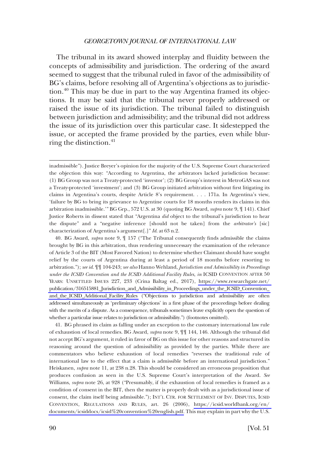The tribunal in its award showed interplay and fuidity between the concepts of admissibility and jurisdiction. The ordering of the award seemed to suggest that the tribunal ruled in favor of the admissibility of BG's claims, before resolving all of Argentina's objections as to jurisdiction.<sup>40</sup> This may be due in part to the way Argentina framed its objections. It may be said that the tribunal never properly addressed or raised the issue of its jurisdiction. The tribunal failed to distinguish between jurisdiction and admissibility; and the tribunal did not address the issue of its jurisdiction over this particular case. It sidestepped the issue, or accepted the frame provided by the parties, even while blurring the distinction. $41$ 

inadmissible"). Justice Breyer's opinion for the majority of the U.S. Supreme Court characterized the objection this way: "According to Argentina, the arbitrators lacked jurisdiction because: (1) BG Group was not a Treaty-protected 'investor'; (2) BG Group's interest in MetroGAS was not a Treaty-protected 'investment'; and (3) BG Group initiated arbitration without frst litigating its claims in Argentina's courts, despite Article 8's requirement. . . . 171a. In Argentina's view, 'failure by BG to bring its grievance to Argentine courts for 18 months renders its claims in this arbitration inadmissible.'" BG Grp., 572 U.S. at 30 (quoting BG Award, *supra* note 9, ¶ 141). Chief Justice Roberts in dissent stated that "Argentina *did* object to the tribunal's jurisdiction to hear the dispute" and a "negative inference [should not be taken] from the *arbitrator's* [sic] characterization of Argentina's argument[.]" *Id*. at 63 n.2.

BG Award, *supra* note 9, ¶ 157 ("The Tribunal consequently fnds admissible the claims 40. brought by BG in this arbitration, thus rendering unnecessary the examination of the relevance of Article 3 of the BIT (Most Favored Nation) to determine whether Claimant should have sought relief by the courts of Argentina during at least a period of 18 months before resorting to arbitration."); *see id*. ¶¶ 104-243; *see also* Hanno Wehland, *Jurisdiction and Admissibility in Proceedings under the ICSID Convention and the ICSID Additional Facility Rules*, *in* ICSID CONVENTION AFTER 50 YEARS: UNSETTLED ISSUES 227, 233 (Crina Baltag ed., 2017), [https://www.researchgate.net/](https://www.researchgate.net/publication/316515881_Jurisdiction_and_Admissibility_in_Proceedings_under_the_ICSID_Convention_and_the_ICSID_Additional_Facility_Rules)  [publication/316515881\\_Jurisdiction\\_and\\_Admissibility\\_in\\_Proceedings\\_under\\_the\\_ICSID\\_Convention\\_](https://www.researchgate.net/publication/316515881_Jurisdiction_and_Admissibility_in_Proceedings_under_the_ICSID_Convention_and_the_ICSID_Additional_Facility_Rules)  [and\\_the\\_ICSID\\_Additional\\_Facility\\_Rules](https://www.researchgate.net/publication/316515881_Jurisdiction_and_Admissibility_in_Proceedings_under_the_ICSID_Convention_and_the_ICSID_Additional_Facility_Rules) ("Objections to jurisdiction and admissibility are often addressed simultaneously as 'preliminary objections' in a frst phase of the proceedings before dealing with the merits of a dispute. As a consequence, tribunals sometimes leave explicitly open the question of whether a particular issue relates to jurisdiction or admissibility.") (footnotes omitted).

41. BG phrased its claim as falling under an exception to the customary international law rule of exhaustion of local remedies. BG Award, *supra* note 9, ¶¶ 144, 146. Although the tribunal did not accept BG's argument, it ruled in favor of BG on this issue for other reasons and structured its reasoning around the question of admissibility as provided by the parties. While there are commentators who believe exhaustion of local remedies "reverses the traditional rule of international law to the effect that a claim is admissible before an international jurisdiction." Heiskanen, *supra* note 11, at 238 n.28. This should be considered an erroneous proposition that produces confusion as seen in the U.S. Supreme Court's interpretation of the Award. *See*  Williams, *supra* note 26, at 928 ("Presumably, if the exhaustion of local remedies is framed as a condition of consent in the BIT, then the matter is properly dealt with as a jurisdictional issue of consent, the claim itself being admissible."); INT'L CTR. FOR SETTLEMENT OF INV. DISPUTES, ICSID CONVENTION, REGULATIONS AND RULES, art. 26 (2006), [https://icsid.worldbank.org/en/](https://icsid.worldbank.org/en/documents/icsiddocs/icsid%20convention%20english.pdf)  [documents/icsiddocs/icsid%20convention%20english.pdf.](https://icsid.worldbank.org/en/documents/icsiddocs/icsid%20convention%20english.pdf) This may explain in part why the U.S.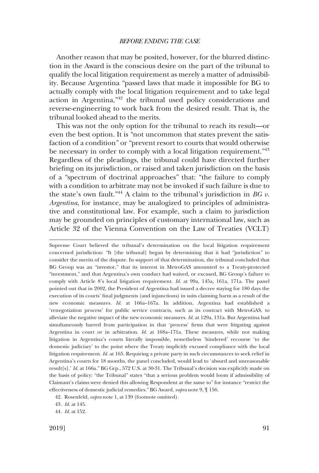Another reason that may be posited, however, for the blurred distinction in the Award is the conscious desire on the part of the tribunal to qualify the local litigation requirement as merely a matter of admissibility. Because Argentina "passed laws that made it impossible for BG to actually comply with the local litigation requirement and to take legal action in Argentina,"42 the tribunal used policy considerations and reverse-engineering to work back from the desired result. That is, the tribunal looked ahead to the merits.

This was not the only option for the tribunal to reach its result—or even the best option. It is "not uncommon that states prevent the satisfaction of a condition" or "prevent resort to courts that would otherwise be necessary in order to comply with a local litigation requirement."<sup>43</sup> Regardless of the pleadings, the tribunal could have directed further briefng on its jurisdiction, or raised and taken jurisdiction on the basis of a "spectrum of doctrinal approaches" that: "the failure to comply with a condition to arbitrate may not be invoked if such failure is due to the state's own fault."<sup>44</sup> A claim to the tribunal's jurisdiction in *BG v. Argentina*, for instance, may be analogized to principles of administrative and constitutional law. For example, such a claim to jurisdiction may be grounded on principles of customary international law, such as Article 32 of the Vienna Convention on the Law of Treaties (VCLT)

Supreme Court believed the tribunal's determination on the local litigation requirement concerned jurisdiction: "It [the tribunal] began by determining that it had "jurisdiction" to consider the merits of the dispute. In support of that determination, the tribunal concluded that BG Group was an "investor," that its interest in MetroGAS amounted to a Treaty-protected "investment," and that Argentina's own conduct had waived, or excused, BG Group's failure to comply with Article 8's local litigation requirement. *Id*. at 99a, 145a, 161a, 171a. The panel pointed out that in 2002, the President of Argentina had issued a decree staying for 180 days the execution of its courts' fnal judgments (and injunctions) in suits claiming harm as a result of the new economic measures. *Id*. at 166a–167a. In addition, Argentina had established a 'renegotiation process' for public service contracts, such as its contract with MetroGAS, to alleviate the negative impact of the new economic measures. *Id*. at 129a, 131a. But Argentina had simultaneously barred from participation in that 'process' frms that were litigating against Argentina in court or in arbitration. *Id*. at 168a–171a. These measures, while not making litigation in Argentina's courts literally impossible, nonetheless 'hindered' recourse 'to the domestic judiciary' to the point where the Treaty implicitly excused compliance with the local litigation requirement. *Id*. at 165. Requiring a private party in such circumstances to seek relief in Argentina's courts for 18 months, the panel concluded, would lead to 'absurd and unreasonable result[s].' *Id*. at 166a." BG Grp., 572 U.S. at 30-31. The Tribunal's decision was explicitly made on the basis of policy: "the Tribunal" states "that a serious problem would loom if admissibility of Claimant's claims were denied this allowing Respondent at the same to" for instance "restrict the effectiveness of domestic judicial remedies." BG Award, *supra* note 9, ¶ 156.

<sup>42.</sup> Rosenfeld, *supra* note 1, at 139 (footnote omitted).

<sup>43.</sup> *Id*. at 145.

<sup>44.</sup> *Id*. at 152.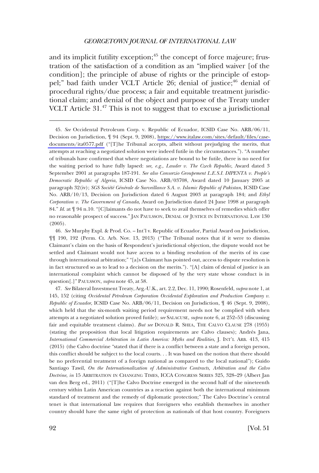and its implicit futility exception;<sup>45</sup> the concept of force majeure; frustration of the satisfaction of a condition as an "implied waiver [of the condition]; the principle of abuse of rights or the principle of estoppel;" bad faith under VCLT Article 26; denial of justice;<sup>46</sup> denial of procedural rights/due process; a fair and equitable treatment jurisdictional claim; and denial of the object and purpose of the Treaty under VCLT Article  $31<sup>47</sup>$  This is not to suggest that to excuse a jurisdictional

*See* Occidental Petroleum Corp. v. Republic of Ecuador, ICSID Case No. ARB/06/11, 45. Decision on Jurisdiction, ¶ 94 (Sept. 9, 2008), [https://www.italaw.com/sites/default/fles/case](https://www.italaw.com/sites/default/files/case-documents/ita0577.pdf)[documents/ita0577.pdf](https://www.italaw.com/sites/default/files/case-documents/ita0577.pdf) ("[T]he Tribunal accepts, albeit without prejudging the merits, that attempts at reaching a negotiated solution were indeed futile in the circumstances."). "A number of tribunals have confrmed that where negotiations are bound to be futile, there is no need for the waiting period to have fully lapsed: *see, e.g., Lauder v. The Czech Republic*, Award dated 3 September 2001 at paragraphs 187-191. *See also Consorzio Groupement L.E.S.I. DIPENTA v. People's Democratic Republic of Algeria*, ICSID Case No. ARB/03708, Award dated 10 January 2005 at paragraph 32(iv); *SGS Société Générale de Surveillance S.A. v. Islamic Republic of Pakistan*, ICSID Case No. ARB/10/13, Decision on Jurisdiction dated 6 August 2003 at paragraph 184; and *Ethyl Corporation v. The Government of Canada*, Award on Jurisdiction dated 24 June 1998 at paragraph 84." *Id*. at ¶ 94 n.10. "[C]laimants do not have to seek to avail themselves of remedies which offer no reasonable prospect of success." JAN PAULSSON, DENIAL OF JUSTICE IN INTERNATIONAL LAW 130 (2005).

46. *See* Murphy Expl. & Prod. Co. – Int'l v. Republic of Ecuador, Partial Award on Jurisdiction, ¶¶ 190, 192 (Perm. Ct. Arb. Nov. 13, 2013) ("The Tribunal notes that if it were to dismiss Claimant's claim on the basis of Respondent's jurisdictional objection, the dispute would not be settled and Claimant would not have access to a binding resolution of the merits of its case through international arbitration;" "[a]s Claimant has pointed out, access to dispute resolution is in fact structured so as to lead to a decision on the merits."). "[A] claim of denial of justice is an international complaint which cannot be disposed of by the very state whose conduct is in question[.]" PAULSSON, *supra* note 45, at 58.

47. *See* Bilateral Investment Treaty, Arg.-U.K., art. 2.2, Dec. 11, 1990; Rosenfeld, *supra* note 1, at 145, 152 (citing *Occidental Petroleum Corporation Occidental Exploration and Production Company v. Republic of Ecuador*, ICSID Case No. ARB/06/11, Decision on Jurisdiction, ¶ 46 (Sept. 9, 2008), which held that the six-month waiting period requirement needs not be complied with when attempts at a negotiated solution proved futile); *see* SALACUSE, *supra* note 6, at 252–53 (discussing fair and equitable treatment claims). *But see* DONALD R. SHEA, THE CALVO CLAUSE 278 (1955) (stating the proposition that local litigation requirements are Calvo clauses); Andrés Jana, *International Commercial Arbitration in Latin America: Myths and Realities*, J. INT'L ARB. 413, 415 (2015) (the Calvo doctrine "stated that if there is a confict between a state and a foreign person, this confict should be subject to the local courts. . . It was based on the notion that there should be no preferential treatment of a foreign national as compared to the local national"); Guido Santiago Tawil, *On the Internationalization of Administrative Contracts, Arbitration and the Calvo Doctrine*, *in* 15 ARBITRATION IN CHANGING TIMES, ICCA CONGRESS SERIES 325, 328–29 (Albert Jan van den Berg ed., 2011) ("[T]he Calvo Doctrine emerged in the second half of the nineteenth century within Latin American countries as a reaction against both the international minimum standard of treatment and the remedy of diplomatic protection;" The Calvo Doctrine's central tenet is that international law requires that foreigners who establish themselves in another country should have the same right of protection as nationals of that host country. Foreigners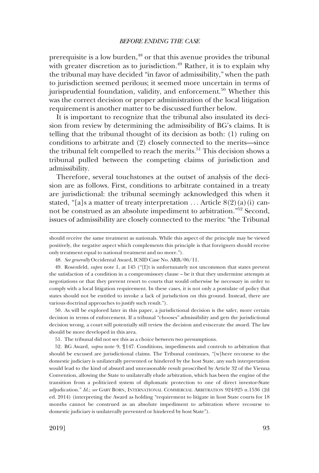prerequisite is a low burden,<sup>48</sup> or that this avenue provides the tribunal with greater discretion as to jurisdiction.<sup> $49$ </sup> Rather, it is to explain why the tribunal may have decided "in favor of admissibility," when the path to jurisdiction seemed perilous; it seemed more uncertain in terms of jurisprudential foundation, validity, and enforcement.<sup>50</sup> Whether this was the correct decision or proper administration of the local litigation requirement is another matter to be discussed further below.

It is important to recognize that the tribunal also insulated its decision from review by determining the admissibility of BG's claims. It is telling that the tribunal thought of its decision as both: (1) ruling on conditions to arbitrate and (2) closely connected to the merits—since the tribunal felt compelled to reach the merits.<sup>51</sup> This decision shows a tribunal pulled between the competing claims of jurisdiction and admissibility.

Therefore, several touchstones at the outset of analysis of the decision are as follows. First, conditions to arbitrate contained in a treaty are jurisdictional: the tribunal seemingly acknowledged this when it stated, "[a]s a matter of treaty interpretation ... Article  $8(2)(a)(i)$  cannot be construed as an absolute impediment to arbitration."52 Second, issues of admissibility are closely connected to the merits: "the Tribunal

50. As will be explored later in this paper, a jurisdictional decision is the safer, more certain decision in terms of enforcement. If a tribunal "chooses" admissibility and gets the jurisdictional decision wrong, a court will potentially still review the decision and eviscerate the award. The law should be more developed in this area.

51. The tribunal did not see this as a choice between two presumptions.

52. BG Award, *supra* note 9, ¶147. Conditions, impediments and controls to arbitration that should be excused are jurisdictional claims. The Tribunal continues, "[w]here recourse to the domestic judiciary is unilaterally prevented or hindered by the host State, any such interpretation would lead to the kind of absurd and unreasonable result proscribed by Article 32 of the Vienna Convention, allowing the State to unilaterally elude arbitration, which has been the engine of the transition from a politicized system of diplomatic protection to one of direct investor-State adjudication." *Id*.; *see* GARY BORN, INTERNATIONAL COMMERCIAL ARBITRATION 924-925 n.1536 (2d ed. 2014) (interpreting the Award as holding "requirement to litigate in host State courts for 18 months cannot be construed as an absolute impediment to arbitration where recourse to domestic judiciary is unilaterally prevented or hindered by host State").

should receive the same treatment as nationals. While this aspect of the principle may be viewed positively, the negative aspect which complements this principle is that foreigners should receive only treatment equal to national treatment and no more.").

<sup>48.</sup> *See generally* Occidental Award, ICSID Case No. ARB/06/11.

<sup>49.</sup> Rosenfeld, *supra* note 1, at 145 ("[I]t is unfortunately not uncommon that states prevent the satisfaction of a condition in a compromissory clause – be it that they undermine attempts at negotiations or that they prevent resort to courts that would otherwise be necessary in order to comply with a local litigation requirement. In these cases, it is not only a postulate of policy that states should not be entitled to invoke a lack of jurisdiction on this ground. Instead, there are various doctrinal approaches to justify such result.").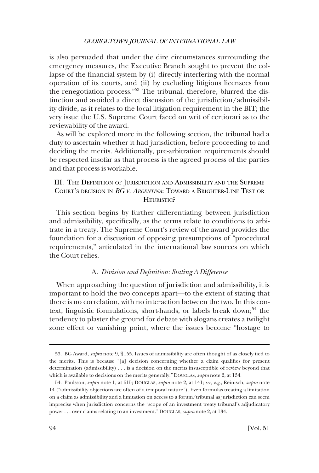<span id="page-13-0"></span>is also persuaded that under the dire circumstances surrounding the emergency measures, the Executive Branch sought to prevent the collapse of the fnancial system by (i) directly interfering with the normal operation of its courts, and (ii) by excluding litigious licensees from the renegotiation process."53 The tribunal, therefore, blurred the distinction and avoided a direct discussion of the jurisdiction/admissibility divide, as it relates to the local litigation requirement in the BIT; the very issue the U.S. Supreme Court faced on writ of certiorari as to the reviewability of the award.

As will be explored more in the following section, the tribunal had a duty to ascertain whether it had jurisdiction, before proceeding to and deciding the merits. Additionally, pre-arbitration requirements should be respected insofar as that process is the agreed process of the parties and that process is workable.

## III. THE DEFINITION OF JURISDICTION AND ADMISSIBILITY AND THE SUPREME COURT'S DECISION IN *BG V. ARGENTINA*: TOWARD A BRIGHTER-LINE TEST OR HEURISTIC?

This section begins by further differentiating between jurisdiction and admissibility, specifcally, as the terms relate to conditions to arbitrate in a treaty. The Supreme Court's review of the award provides the foundation for a discussion of opposing presumptions of "procedural requirements," articulated in the international law sources on which the Court relies.

## A. *Division and Defnition: Stating A Difference*

When approaching the question of jurisdiction and admissibility, it is important to hold the two concepts apart—to the extent of stating that there is no correlation, with no interaction between the two. In this context, linguistic formulations, short-hands, or labels break down;<sup>54</sup> the tendency to plaster the ground for debate with slogans creates a twilight zone effect or vanishing point, where the issues become "hostage to

<sup>53.</sup> BG Award, *supra* note 9, ¶155. Issues of admissibility are often thought of as closely tied to the merits. This is because "[a] decision concerning whether a claim qualifes for present determination (admissibility) . . . is a decision on the merits insusceptible of review beyond that which is available to decisions on the merits generally." DOUGLAS, *supra* note 2, at 134.

<sup>54.</sup> Paulsson, *supra* note 1, at 615; DOUGLAS, *supra* note 2, at 141; *see, e.g*., Reinisch, *supra* note 14 ("admissibility objections are often of a temporal nature"). Even formulas treating a limitation on a claim as admissibility and a limitation on access to a forum/tribunal as jurisdiction can seem imprecise when jurisdiction concerns the "scope of an investment treaty tribunal's adjudicatory power . . . over claims relating to an investment." DOUGLAS, *supra* note 2, at 134.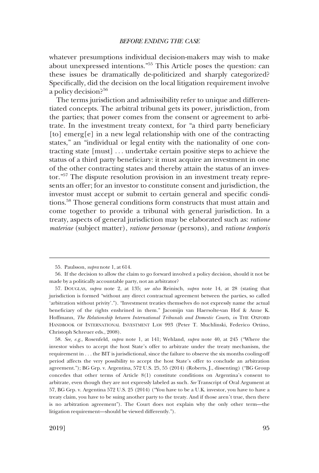whatever presumptions individual decision-makers may wish to make about unexpressed intentions."55 This Article poses the question: can these issues be dramatically de-politicized and sharply categorized? Specifcally, did the decision on the local litigation requirement involve a policy decision?<sup>56</sup>

The terms jurisdiction and admissibility refer to unique and differentiated concepts. The arbitral tribunal gets its power, jurisdiction, from the parties; that power comes from the consent or agreement to arbitrate. In the investment treaty context, for "a third party benefciary [to] emerg[e] in a new legal relationship with one of the contracting states," an "individual or legal entity with the nationality of one contracting state [must] . . . undertake certain positive steps to achieve the status of a third party benefciary: it must acquire an investment in one of the other contracting states and thereby attain the status of an investor."57 The dispute resolution provision in an investment treaty represents an offer; for an investor to constitute consent and jurisdiction, the investor must accept or submit to certain general and specifc conditions.58 Those general conditions form constructs that must attain and come together to provide a tribunal with general jurisdiction. In a treaty, aspects of general jurisdiction may be elaborated such as: *ratione materiae* (subject matter), *ratione personae* (persons), and *ratione temporis* 

58. *See, e.g*., Rosenfeld, *supra* note 1, at 141; Wehland, *supra* note 40, at 245 ("Where the investor wishes to accept the host State's offer to arbitrate under the treaty mechanism, the requirement in . . . the BIT is jurisdictional, since the failure to observe the six months cooling-off period affects the very possibility to accept the host State's offer to conclude an arbitration agreement."); BG Grp. v. Argentina, 572 U.S. 25, 55 (2014) (Roberts, J., dissenting) ("BG Group concedes that other terms of Article 8(1) constitute conditions on Argentina's consent to arbitrate, even though they are not expressly labeled as such. *See* Transcript of Oral Argument at 57, BG Grp. v. Argentina 572 U.S. 25 (2014) ("You have to be a U.K. investor, you have to have a treaty claim, you have to be suing another party to the treaty. And if those aren't true, then there is no arbitration agreement"). The Court does not explain why the only other term—the litigation requirement—should be viewed differently.").

<sup>55.</sup> Paulsson, *supra* note 1, at 614.

<sup>56.</sup> If the decision to allow the claim to go forward involved a policy decision, should it not be made by a politically accountable party, not an arbitrator?

<sup>57.</sup> DOUGLAS, *supra* note 2, at 135; *see also* Reinisch, *supra* note 14, at 28 (stating that jurisdiction is formed "without any direct contractual agreement between the parties, so called 'arbitration without privity'."). "Investment treaties themselves do not expressly name the actual benefciary of the rights enshrined in them." Jacomijn van Haersolte-van Hof & Anne K. Hoffmann, *The Relationship between International Tribunals and Domestic Courts*, *in* THE OXFORD HANDBOOK OF INTERNATIONAL INVESTMENT LAW 993 (Peter T. Muchlinski, Federico Ortino, Christoph Schreuer eds., 2008).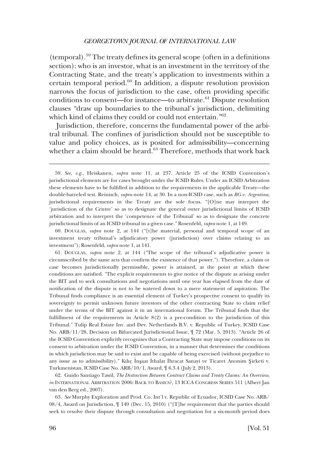(temporal).<sup>59</sup> The treaty defines its general scope (often in a definitions section): who is an investor, what is an investment in the territory of the Contracting State, and the treaty's application to investments within a certain temporal period.60 In addition, a dispute resolution provision narrows the focus of jurisdiction to the case, often providing specifc conditions to consent—for instance—to arbitrate.<sup>61</sup> Dispute resolution clauses "draw up boundaries to the tribunal's jurisdiction, delimiting which kind of claims they could or could not entertain."<sup>62</sup>

Jurisdiction, therefore, concerns the fundamental power of the arbitral tribunal. The confnes of jurisdiction should not be susceptible to value and policy choices, as is posited for admissibility—concerning whether a claim should be heard.<sup>63</sup> Therefore, methods that work back

60. DOUGLAS, *supra* note 2, at 144 ("[t]he material, personal and temporal scope of an investment treaty tribunal's adjudicatory power (jurisdiction) over claims relating to an investment"); Rosenfeld, *supra* note 1, at 141.

61. DOUGLAS, *supra* note 2, at 144 ("The scope of the tribunal's adjudicative power is circumscribed by the same acts that confrm the existence of that power."). Therefore, a claim or case becomes jurisdictionally permissible, power is attained, at the point at which these conditions are satisfed. "The explicit requirements to give notice of the dispute as arising under the BIT and to seek consultations and negotiations until one year has elapsed from the date of notifcation of the dispute is not to be watered down to a mere statement of aspiration. The Tribunal fnds compliance is an essential element of Turkey's prospective consent to qualify its sovereignty to permit unknown future investors of the other contracting State to claim relief under the terms of the BIT against it in an international forum. The Tribunal fnds that the fulfillment of the requirements in Article  $8(2)$  is a pre-condition to the jurisdiction of this Tribunal." Tulip Real Estate Inv. and Dev. Netherlands B.V. v. Republic of Turkey, ICSID Case No. ARB/11/28, Decision on Bifurcated Jurisdictional Issue, ¶ 72 (Mar. 5, 2013). "Article 26 of the ICSID Convention explicitly recognises that a Contracting State may impose conditions on its consent to arbitration under the ICSID Convention, in a manner that determines the conditions in which jurisdiction may be said to exist and be capable of being exercised (without prejudice to any issue as to admissibility)." Kılıç İnşaat İthalat İhracat Sanayi ve Ticaret Anonim Şirketi v. Turkmenistan, ICSID Case No. ARB/10/1, Award, ¶ 6.3.4 (July 2, 2013).

62. Guido Santiago Tawil, *The Distinction Between Contract Claims and Treaty Claims: An Overview*, *in* INTERNATIONAL ARBITRATION 2006: BACK TO BASICS?, 13 ICCA CONGRESS SERIES 511 (Albert Jan van den Berg ed., 2007).

63. *See* Murphy Exploration and Prod. Co. Int'l v. Republic of Ecuador, ICSID Case No. ARB/ 08/4, Award on Jurisdiction, ¶ 149 (Dec. 15, 2010) ("[T]he requirement that the parties should seek to resolve their dispute through consultation and negotiation for a six-month period does

<sup>59.</sup> *See, e.g*., Heiskanen, *supra* note 11, at 237. Article 25 of the ICSID Convention's jurisdictional elements are for cases brought under the ICSID Rules. Under an ICSID Arbitration these elements have to be fulflled in addition to the requirements in the applicable Treaty—the double-barreled test. Reinisch, *supra* note 14, at 30. In a non-ICSID case, such as *BG v. Argentina*, jurisdictional requirements in the Treaty are the sole focus. "[O]ne may interpret the 'jurisdiction of the Centre' so as to designate the general outer jurisdictional limits of ICSID arbitration and to interpret the 'competence of the Tribunal' so as to designate the concrete jurisdictional limits of an ICSID tribunal in a given case." Rosenfeld, *supra* note 1, at 149.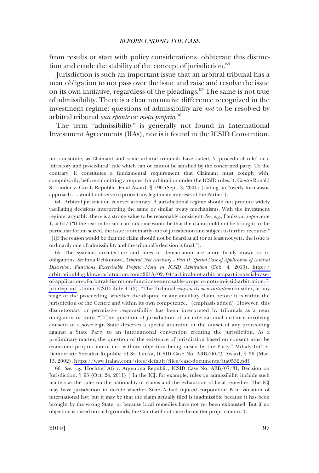from results or start with policy considerations, obliterate this distinction and erode the stability of the concept of jurisdiction.<sup>64</sup>

Jurisdiction is such an important issue that an arbitral tribunal has a near obligation to not pass over the issue and raise and resolve the issue on its own initiative, regardless of the pleadings.<sup>65</sup> The same is not true of admissibility. There is a clear normative difference recognized in the investment regime: questions of admissibility are *not* to be resolved by arbitral tribunal *sua sponte* or *motu proprio*. 66

The term "admissibility" is generally not found in International Investment Agreements (IIAs), nor is it found in the ICSID Convention,

64. Arbitral jurisdiction is never arbitrary. A jurisdictional regime should not produce widely vacillating decisions interpreting the same or similar treaty mechanisms. With the investment regime, arguably, there is a strong value to be reasonably consistent. *See, e.g*., Paulsson, *supra* note 1, at 617 ("If the reason for such an outcome would be that the claim could not be brought to the particular forum seized, the issue is ordinarily one of jurisdiction and subject to further recourse;" "[i]f the reason would be that the claim should not be heard at all (or at least not yet), the issue is ordinarily one of admissibility and the tribunal's decision is fnal.").

The systemic architecture and lines of demarcation are more frmly drawn as to 65. obligations. *See* Inna Uchkunova, *Arbitral, Not Arbitrary – Part II: Special Case of Application of Arbitral Discretion. Functions Excercisable Proprio Motu in ICSID Arbitration* (Feb. 4, 2013), [http://](http://arbitrationblog.kluwerarbitration.com/2013/02/04/arbitral-not-arbitrary-part-ii-special-case-of-application-of-arbitral-discretion-functions-exercisable-proprio-motu-in-icsid-arbitration/?print=print)  [arbitrationblog.kluwerarbitration.com/2013/02/04/arbitral-not-arbitrary-part-ii-special-case](http://arbitrationblog.kluwerarbitration.com/2013/02/04/arbitral-not-arbitrary-part-ii-special-case-of-application-of-arbitral-discretion-functions-exercisable-proprio-motu-in-icsid-arbitration/?print=print)[of-application-of-arbitral-discretion-functions-exercisable-proprio-motu-in-icsid-arbitration/?](http://arbitrationblog.kluwerarbitration.com/2013/02/04/arbitral-not-arbitrary-part-ii-special-case-of-application-of-arbitral-discretion-functions-exercisable-proprio-motu-in-icsid-arbitration/?print=print)  [print=print.](http://arbitrationblog.kluwerarbitration.com/2013/02/04/arbitral-not-arbitrary-part-ii-special-case-of-application-of-arbitral-discretion-functions-exercisable-proprio-motu-in-icsid-arbitration/?print=print) Under ICSID Rule 41(2), "The Tribunal *may on its own initiative* consider, at any stage of the proceeding, whether the dispute or any ancillary claim before it is within the jurisdiction of the Centre and within its own competence." (emphasis added). However, this discretionary or permissive responsibility has been interpreted by tribunals as a near obligation or duty: "[T]he question of jurisdiction of an international instance involving consent of a sovereign State deserves a special attention at the outset of any proceeding against a State Party to an international convention creating the jurisdiction. As a preliminary matter, the question of the existence of jurisdiction based on consent must be examined proprio motu, i.e., without objection being raised by the Party." Mihaly Int'l v. Democratic Socialist Republic of Sri Lanka, ICSID Case No. ARB/00/2, Award, ¶ 56 (Mar. 15, 2002), [https://www.italaw.com/sites/default/fles/case-documents/ita0532.pdf.](https://www.italaw.com/sites/default/files/case-documents/ita0532.pdf)

66. *See, e.g*., Hochtief AG v. Argentina Republic, ICSID Case No. ARB/07/31, Decision on Jurisdiction, ¶ 95 (Oct. 24, 2011) ("In the ICJ, for example, rules on admissibility include such matters as the rules on the nationality of claims and the exhaustion of local remedies. The ICJ may have jurisdiction to decide whether State A had injured corporation B in violation of international law; but it may be that the claim actually fled is inadmissible because it has been brought by the wrong State, or because local remedies have not yet been exhausted. But if no objection is raised on such grounds, the Court will not raise the matter proprio motu.").

not constitute, as Claimant and some arbitral tribunals have stated, 'a procedural rule' or a 'directory and procedural' rule which can or cannot be satisfed by the concerned party. To the contrary, it constitutes a fundamental requirement that Claimant must comply with, compulsorily, before submitting a request for arbitration under the ICSID rules."). C*ontra* Ronald S. Lauder v. Czech Republic, Final Award, ¶ 190 (Sept. 3, 2001) (stating an "overly formalistic approach . . . would not serve to protect any legitimate interests of the Parties").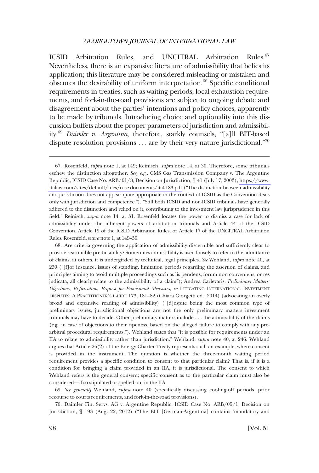ICSID Arbitration Rules, and UNCITRAL Arbitration Rules.<sup>67</sup> Nevertheless, there is an expansive literature of admissibility that belies its application; this literature may be considered misleading or mistaken and obscures the desirability of uniform interpretation.<sup>68</sup> Specific conditional requirements in treaties, such as waiting periods, local exhaustion requirements, and fork-in-the-road provisions are subject to ongoing debate and disagreement about the parties' intentions and policy choices, apparently to be made by tribunals. Introducing choice and optionality into this discussion buffets about the proper parameters of jurisdiction and admissibility.69 *Daimler v. Argentina*, therefore, starkly counsels, "[a]ll BIT-based dispute resolution provisions  $\ldots$  are by their very nature jurisdictional."<sup>70</sup>

68. Are criteria governing the application of admissibility discernible and suffciently clear to provide reasonable predictability? Sometimes admissibility is used loosely to refer to the admittance of claims; at others, it is undergirded by technical, legal principles. *See* Wehland, *supra* note 40, at 239 ("[f]or instance, issues of standing, limitation periods regarding the assertion of claims, and principles aiming to avoid multiple proceedings such as lis pendens, forum non conveniens, or res judicata, all clearly relate to the admissibility of a claim"); Andrea Carlevaris, *Preliminary Matters: Objections, Bi-furcation, Request for Provisional Measures*, *in* LITIGATING INTERNATIONAL INVESTMENT DISPUTES: A PRACTITIONER'S GUIDE 173, 181–82 (Chiara Giorgetti ed., 2014) (advocating an overly broad and expansive reading of admissibility) ("[d]espite being the most common type of preliminary issues, jurisdictional objections are not the only preliminary matters investment tribunals may have to decide. Other preliminary matters include . . . the admissibility of the claims (*e.g*., in case of objections to their ripeness, based on the alleged failure to comply with any prearbitral procedural requirements."). Wehland states that "it is possible for requirements under an IIA to relate to admissibility rather than jurisdiction." Wehland, *supra* note 40, at 246. Wehland argues that Article 26(2) of the Energy Charter Treaty represents such an example, where consent is provided in the instrument. The question is whether the three-month waiting period requirement provides a specifc condition to consent to that particular claim? That is, if it is a condition for bringing a claim provided in an IIA, it is jurisdictional. The consent to which Wehland refers is the general consent; specifc consent as to the particular claim must also be considered—if so stipulated or spelled out in the IIA.

69. *See generally* Wehland, *supra* note 40 (specifcally discussing cooling-off periods, prior recourse to courts requirements, and fork-in-the-road provisions).

70. Daimler Fin. Servs. AG v. Argentine Republic, ICSID Case No. ARB/05/1, Decision on Jurisdiction, ¶ 193 (Aug. 22, 2012) ("The BIT [German-Argentina] contains 'mandatory and

<sup>67.</sup> Rosenfeld, *supra* note 1, at 149; Reinisch, *supra* note 14, at 30. Therefore, some tribunals eschew the distinction altogether. *See, e.g*., CMS Gas Transmission Company v. The Argentine Republic, ICSID Case No. ARB/01/8, Decision on Jurisdiction, ¶ 41 (July 17, 2003), [https://www.](https://www.italaw.com/sites/default/files/case-documents/ita0183.pdf)  [italaw.com/sites/default/fles/case-documents/ita0183.pdf](https://www.italaw.com/sites/default/files/case-documents/ita0183.pdf) ("The distinction between admissibility and jurisdiction does not appear quite appropriate in the context of ICSID as the Convention deals only with jurisdiction and competence."). "Still both ICSID and non-ICSID tribunals have generally adhered to the distinction and relied on it, contributing to the investment law jurisprudence in this feld." Reinisch, *supra* note 14, at 31. Rosenfeld locates the power to dismiss a case for lack of admissibility under the inherent powers of arbitration tribunals and Article 44 of the ICSID Convention, Article 19 of the ICSID Arbitration Rules, or Article 17 of the UNCITRAL Arbitration Rules. Rosenfeld, s*upra* note 1, at 149–50.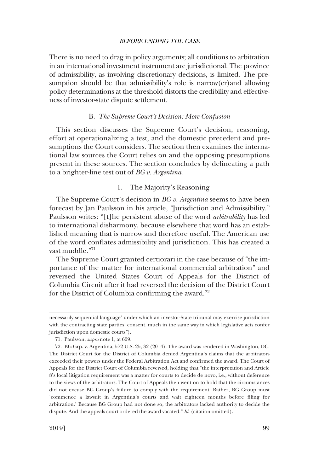<span id="page-18-0"></span>There is no need to drag in policy arguments; all conditions to arbitration in an international investment instrument are jurisdictional. The province of admissibility, as involving discretionary decisions, is limited. The presumption should be that admissibility's role is narrow(er)and allowing policy determinations at the threshold distorts the credibility and effectiveness of investor-state dispute settlement.

#### B. *The Supreme Court's Decision: More Confusion*

This section discusses the Supreme Court's decision, reasoning, effort at operationalizing a test, and the domestic precedent and presumptions the Court considers. The section then examines the international law sources the Court relies on and the opposing presumptions present in these sources. The section concludes by delineating a path to a brighter-line test out of *BG v. Argentina*.

## 1. The Majority's Reasoning

The Supreme Court's decision in *BG v. Argentina* seems to have been forecast by Jan Paulsson in his article, "Jurisdiction and Admissibility." Paulsson writes: "[t]he persistent abuse of the word *arbitrability* has led to international disharmony, because elsewhere that word has an established meaning that is narrow and therefore useful. The American use of the word confates admissibility and jurisdiction. This has created a vast muddle."71

The Supreme Court granted certiorari in the case because of "the importance of the matter for international commercial arbitration" and reversed the United States Court of Appeals for the District of Columbia Circuit after it had reversed the decision of the District Court for the District of Columbia confrming the award.<sup>72</sup>

necessarily sequential language' under which an investor-State tribunal may exercise jurisdiction with the contracting state parties' consent, much in the same way in which legislative acts confer jurisdiction upon domestic courts").

<sup>71.</sup> Paulsson, *supra* note 1, at 609.

<sup>72.</sup> BG Grp. v. Argentina, 572 U.S. 25, 32 (2014). The award was rendered in Washington, DC. The District Court for the District of Columbia denied Argentina's claims that the arbitrators exceeded their powers under the Federal Arbitration Act and confrmed the award. The Court of Appeals for the District Court of Columbia reversed, holding that "the interpretation and Article 8's local litigation requirement was a matter for courts to decide de novo, i.e., without deference to the views of the arbitrators. The Court of Appeals then went on to hold that the circumstances did not excuse BG Group's failure to comply with the requirement. Rather, BG Group must 'commence a lawsuit in Argentina's courts and wait eighteen months before fling for arbitration.' Because BG Group had not done so, the arbitrators lacked authority to decide the dispute. And the appeals court ordered the award vacated." *Id*. (citation omitted).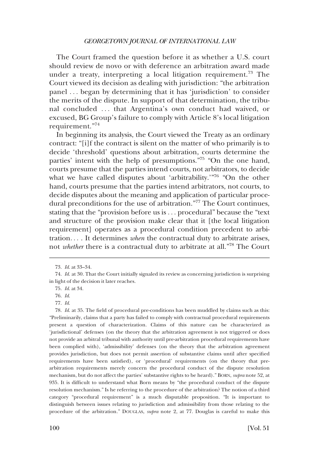The Court framed the question before it as whether a U.S. court should review de novo or with deference an arbitration award made under a treaty, interpreting a local litigation requirement.<sup>73</sup> The Court viewed its decision as dealing with jurisdiction: "the arbitration panel . . . began by determining that it has 'jurisdiction' to consider the merits of the dispute. In support of that determination, the tribunal concluded . . . that Argentina's own conduct had waived, or excused, BG Group's failure to comply with Article 8's local litigation requirement."<sup>74</sup>

In beginning its analysis, the Court viewed the Treaty as an ordinary contract: "[i]f the contract is silent on the matter of who primarily is to decide 'threshold' questions about arbitration, courts determine the parties' intent with the help of presumptions."75 "On the one hand, courts presume that the parties intend courts, not arbitrators, to decide what we have called disputes about 'arbitrability.'"<sup>76</sup> "On the other hand, courts presume that the parties intend arbitrators, not courts, to decide disputes about the meaning and application of particular procedural preconditions for the use of arbitration."<sup>77</sup> The Court continues, stating that the "provision before us is . . . procedural" because the "text and structure of the provision make clear that it [the local litigation requirement] operates as a procedural condition precedent to arbitration. . . . It determines *when* the contractual duty to arbitrate arises, not *whether* there is a contractual duty to arbitrate at all."78 The Court

<sup>73.</sup> *Id*. at 33–34.

<sup>74.</sup> *Id*. at 30. That the Court initially signaled its review as concerning jurisdiction is surprising in light of the decision it later reaches.

<sup>75.</sup> *Id*. at 34.

<sup>76.</sup> *Id*.

<sup>77.</sup> *Id*.

<sup>78.</sup> *Id*. at 35. The feld of procedural pre-conditions has been muddled by claims such as this: "Preliminarily, claims that a party has failed to comply with contractual procedural requirements present a question of characterization. Claims of this nature can be characterized as 'jurisdictional' defenses (on the theory that the arbitration agreement is not triggered or does not provide an arbitral tribunal with authority until pre-arbitration procedural requirements have been complied with), 'admissibility' defenses (on the theory that the arbitration agreement provides jurisdiction, but does not permit assertion of substantive claims until after specifed requirements have been satisfed), or 'procedural' requirements (on the theory that prearbitration requirements merely concern the procedural conduct of the dispute resolution mechanism, but do not affect the parties' substantive rights to be heard)." BORN, *supra* note 52, at 935. It is diffcult to understand what Born means by "the procedural conduct of the dispute resolution mechanism." Is he referring to the procedure of the arbitration? The notion of a third category "procedural requirement" is a much disputable proposition. "It is important to distinguish between issues relating to jurisdiction and admissibility from those relating to the procedure of the arbitration." DOUGLAS, *supra* note 2, at 77. Douglas is careful to make this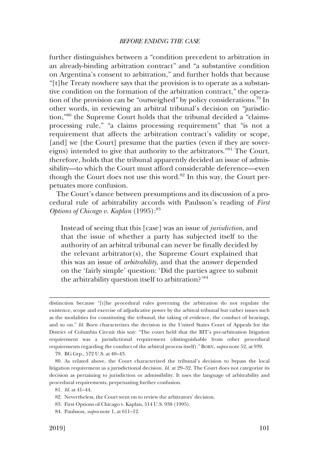further distinguishes between a "condition precedent to arbitration in an already-binding arbitration contract" and "a substantive condition on Argentina's consent to arbitration," and further holds that because "[t]he Treaty nowhere says that the provision is to operate as a substantive condition on the formation of the arbitration contract," the operation of the provision can be "outweighed" by policy considerations.79 In other words, in reviewing an arbitral tribunal's decision on "jurisdiction,"80 the Supreme Court holds that the tribunal decided a "claimsprocessing rule," "a claims processing requirement" that "is not a requirement that affects the arbitration contract's validity or scope, [and] we [the Court] presume that the parties (even if they are sovereigns) intended to give that authority to the arbitrators."81 The Court, therefore, holds that the tribunal apparently decided an issue of admissibility—to which the Court must afford considerable deference—even though the Court does not use this word.<sup>82</sup> In this way, the Court perpetuates more confusion.

The Court's dance between presumptions and its discussion of a procedural rule of arbitrability accords with Paulsson's reading of *First Options of Chicago v. Kaplan* (1995):<sup>83</sup>

Instead of seeing that this [case] was an issue of *jurisdiction*, and that the issue of whether a party has subjected itself to the authority of an arbitral tribunal can never be fnally decided by the relevant arbitrator(s), the Supreme Court explained that this was an issue of *arbitrability*, and that the answer depended on the 'fairly simple' question: 'Did the parties agree to submit the arbitrability question itself to arbitration?'<sup>84</sup>

79. BG Grp., 572 U.S. at 40–43.

distinction because "[t]he procedural rules governing the arbitration do not regulate the existence, scope and exercise of adjudicative power by the arbitral tribunal but rather issues such as the modalities for constituting the tribunal, the taking of evidence, the conduct of hearings, and so on." *Id*. Born characterizes the decision in the United States Court of Appeals for the District of Columbia Circuit this way: "The court held that the BIT's pre-arbitration litigation requirement was a jurisdictional requirement (distinguishable from other procedural requirements regarding the conduct of the arbitral process itself)." BORN, *supra* note 52, at 939.

<sup>80.</sup> As related above, the Court characterized the tribunal's decision to bypass the local litigation requirement as a jurisdictional decision. *Id*. at 29–32. The Court does not categorize its decision as pertaining to jurisdiction or admissibility. It uses the language of arbitrability and procedural requirements, perpetuating further confusion.

<sup>81.</sup> *Id*. at 41–44.

<sup>82.</sup> Nevertheless, the Court went on to review the arbitrators' decision.

<sup>83.</sup> First Options of Chicago v. Kaplan, 514 U.S. 938 (1995).

<sup>84.</sup> Paulsson, *supra* note 1, at 611–12.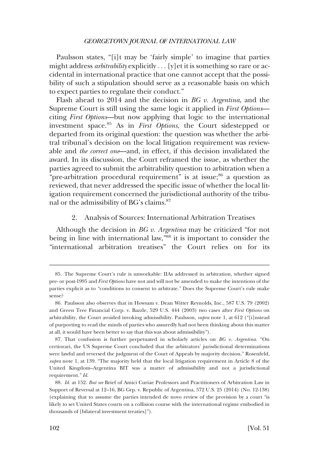<span id="page-21-0"></span>Paulsson states, "[i]t may be 'fairly simple' to imagine that parties might address *arbitrability* explicitly . . . [y]et it is something so rare or accidental in international practice that one cannot accept that the possibility of such a stipulation should serve as a reasonable basis on which to expect parties to regulate their conduct."

Flash ahead to 2014 and the decision in *BG v. Argentina*, and the Supreme Court is still using the same logic it applied in *First Options* citing *First Options*—but now applying that logic to the international investment space.85 As in *First Options*, the Court sidestepped or departed from its original question: the question was whether the arbitral tribunal's decision on the local litigation requirement was reviewable and *the correct one*—and, in effect, if this decision invalidated the award. In its discussion, the Court reframed the issue, as whether the parties agreed to submit the arbitrability question to arbitration when a "pre-arbitration procedural requirement" is at issue;<sup>86</sup> a question as reviewed, that never addressed the specifc issue of whether the local litigation requirement concerned the jurisdictional authority of the tribunal or the admissibility of BG's claims.87

2. Analysis of Sources: International Arbitration Treatises

Although the decision in *BG v. Argentina* may be criticized "for not being in line with international law,<sup>388</sup> it is important to consider the "international arbitration treatises" the Court relies on for its

<sup>85.</sup> The Supreme Court's rule is unworkable: IIAs addressed in arbitration, whether signed pre- or post-1995 and *First Options* have not and will not be amended to make the intentions of the parties explicit as to "conditions to consent to arbitrate." Does the Supreme Court's rule make sense?

<sup>86.</sup> Paulsson also observes that in Howsam v. Dean Witter Reynolds, Inc., 587 U.S. 79 (2002) and Green Tree Financial Corp. v. Bazzle, 529 U.S. 444 (2003) two cases after *First Options* on arbitrability, the Court avoided invoking admissibility. Paulsson, *supra* note 1, at 612 ("[i]nstead of purporting to read the minds of parties who assuredly had not been thinking about this matter at all, it would have been better to say that this was about admissibility").

<sup>87.</sup> That confusion is further perpetuated in scholarly articles on *BG v. Argentina*. "On certiorari, the US Supreme Court concluded that the arbitrators' jurisdictional determinations were lawful and reversed the judgment of the Court of Appeals by majority decision." Rosenfeld, *supra* note 1, at 139. "The majority held that the local litigation requirement in Article 8 of the United Kingdom–Argentina BIT was a matter of admissibility and not a jurisdictional requirement." *Id*.

<sup>88.</sup> *Id*. at 152. *But see* Brief of Amici Curiae Professors and Practitioners of Arbitration Law in Support of Reversal at 12–16, BG Grp. v. Republic of Argentina, 572 U.S. 25 (2014) (No. 12-138) (explaining that to assume the parties intended de novo review of the provision by a court "is likely to set United States courts on a collision course with the international regime embodied in thousands of [bilateral investment treaties]").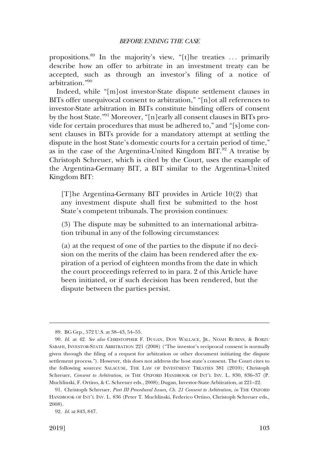propositions.<sup>89</sup> In the majority's view, "[t]he treaties ... primarily describe how an offer to arbitrate in an investment treaty can be accepted, such as through an investor's fling of a notice of arbitration."90

Indeed, while "[m]ost investor-State dispute settlement clauses in BITs offer unequivocal consent to arbitration," "[n]ot all references to investor-State arbitration in BITs constitute binding offers of consent by the host State."91 Moreover, "[n]early all consent clauses in BITs provide for certain procedures that must be adhered to," and "[s]ome consent clauses in BITs provide for a mandatory attempt at settling the dispute in the host State's domestic courts for a certain period of time," as in the case of the Argentina-United Kingdom  $BIT<sup>92</sup>$  A treatise by Christoph Schreuer, which is cited by the Court, uses the example of the Argentina-Germany BIT, a BIT similar to the Argentina-United Kingdom BIT:

[T]he Argentina-Germany BIT provides in Article 10(2) that any investment dispute shall frst be submitted to the host State's competent tribunals. The provision continues:

(3) The dispute may be submitted to an international arbitration tribunal in any of the following circumstances:

(a) at the request of one of the parties to the dispute if no decision on the merits of the claim has been rendered after the expiration of a period of eighteen months from the date in which the court proceedings referred to in para. 2 of this Article have been initiated, or if such decision has been rendered, but the dispute between the parties persist.

<sup>89.</sup> BG Grp., 572 U.S. at 38–43, 54–55.

<sup>90.</sup> *Id*. at 42. *See also* CHRISTOPHER F. DUGAN, DON WALLACE, JR., NOAH RUBINS, & BORZU SABAHI, INVESTOR-STATE ARBITRATION 221 (2008) ("The investor's reciprocal consent is normally given through the fling of a request for arbitration or other document initiating the dispute settlement process."). However, this does not address the host state's consent. The Court cites to the following sources: SALACUSE, THE LAW OF INVESTMENT TREATIES 381 (2010); Christoph Schreuer, *Consent to Arbitration*, *in* THE OXFORD HANDBOOK OF INT'L INV. L. 830, 836–37 (P. Muchlinski, F. Ortino, & C. Schreuer eds., 2008); Dugan, Investor-State Arbitration, at 221–22.

<sup>91.</sup> Christoph Schreuer, *Part III Procedural Issues, Ch. 21 Consent to Arbitration*, *in* THE OXFORD HANDBOOK OF INT'L INV. L. 836 (Peter T. Muchlinski, Federico Ortino, Christoph Schreuer eds., 2008).

<sup>92.</sup> *Id*. at 843, 847.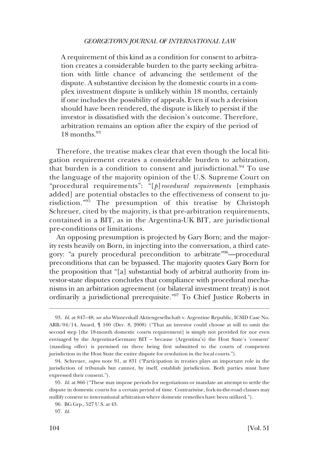A requirement of this kind as a condition for consent to arbitration creates a considerable burden to the party seeking arbitration with little chance of advancing the settlement of the dispute. A substantive decision by the domestic courts in a complex investment dispute is unlikely within 18 months, certainly if one includes the possibility of appeals. Even if such a decision should have been rendered, the dispute is likely to persist if the investor is dissatisfed with the decision's outcome. Therefore, arbitration remains an option after the expiry of the period of  $18$  months<sup>93</sup>

Therefore, the treatise makes clear that even though the local litigation requirement creates a considerable burden to arbitration, that burden is a condition to consent and jurisdictional.<sup>94</sup> To use the language of the majority opinion of the U.S. Supreme Court on "procedural requirements": "[*p*]*rocedural requirements* [emphasis added] are potential obstacles to the effectiveness of consent to jurisdiction."95 The presumption of this treatise by Christoph Schreuer, cited by the majority, is that pre-arbitration requirements, contained in a BIT, as in the Argentina-UK BIT, are jurisdictional pre-conditions or limitations.

An opposing presumption is projected by Gary Born; and the majority rests heavily on Born, in injecting into the conversation, a third category: "a purely procedural precondition to arbitrate"96—procedural preconditions that can be bypassed. The majority quotes Gary Born for the proposition that "[a] substantial body of arbitral authority from investor-state disputes concludes that compliance with procedural mechanisms in an arbitration agreement (or bilateral investment treaty) is not ordinarily a jurisdictional prerequisite."97 To Chief Justice Roberts in

<sup>93.</sup> *Id*. at 847–48; *see also* Wintershall Aktiengesellschaft v. Argentine Republic, ICSID Case No. ARB/04/14, Award, ¶ 160 (Dec. 8, 2008) ("That an investor could choose at will to omit the second step [the 18-month domestic courts requirement] is simply not provided for nor even envisaged by the Argentina-Germany BIT – because (Argentina's) the Host State's 'consent' (standing offer) is premised on there being frst submitted to the courts of competent jurisdiction in the Host State the entire dispute for resolution in the local courts.").

<sup>94.</sup> Schreuer, *supra* note 91, at 831 ("Participation in treaties plays an important role in the jurisdiction of tribunals but cannot, by itself, establish jurisdiction. Both parties must have expressed their consent.").

<sup>95.</sup> *Id*. at 866 ("These may impose periods for negotiations or mandate an attempt to settle the dispute in domestic courts for a certain period of time. Contrariwise, fork-in-the-road clauses may nullify consent to international arbitration where domestic remedies have been utilized.").

<sup>96.</sup> BG Grp., 527 U.S. at 43.

<sup>97.</sup> *Id*.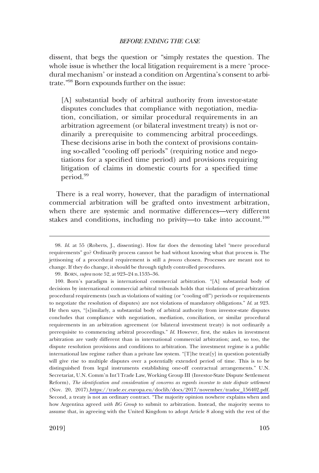dissent, that begs the question or "simply restates the question. The whole issue is whether the local litigation requirement is a mere 'procedural mechanism' or instead a condition on Argentina's consent to arbitrate."98 Born expounds further on the issue:

[A] substantial body of arbitral authority from investor-state disputes concludes that compliance with negotiation, mediation, conciliation, or similar procedural requirements in an arbitration agreement (or bilateral investment treaty) is not ordinarily a prerequisite to commencing arbitral proceedings. These decisions arise in both the context of provisions containing so-called "cooling off periods" (requiring notice and negotiations for a specifed time period) and provisions requiring litigation of claims in domestic courts for a specifed time period.<sup>99</sup>

There is a real worry, however, that the paradigm of international commercial arbitration will be grafted onto investment arbitration, when there are systemic and normative differences—very different stakes and conditions, including no privity—to take into account.<sup>100</sup>

99. BORN, *supra* note 52, at 923–24 n.1535–36.

<sup>98.</sup> *Id*. at 55 (Roberts, J., dissenting). How far does the demoting label "mere procedural requirements" go? Ordinarily process cannot be had without knowing what that process is. The jettisoning of a procedural requirement is still a *process* chosen. Processes are meant not to change. If they do change, it should be through tightly controlled procedures.

<sup>100.</sup>  Born's paradigm is international commercial arbitration. "[A] substantial body of decisions by international commercial arbitral tribunals holds that violations of pre-arbitration procedural requirements (such as violations of waiting (or "cooling off") periods or requirements to negotiate the resolution of disputes) are not violations of mandatory obligations." *Id*. at 923. He then says, "[s]imilarly, a substantial body of arbitral authority from investor-state disputes concludes that compliance with negotiation, mediation, conciliation, or similar procedural requirements in an arbitration agreement (or bilateral investment treaty) is not ordinarily a prerequisite to commencing arbitral proceedings." *Id*. However, frst, the stakes in investment arbitration are vastly different than in international commercial arbitration; and, so too, the dispute resolution provisions and conditions to arbitration. The investment regime is a public international law regime rather than a private law system. "[T]he treat[y] in question potentially will give rise to multiple disputes over a potentially extended period of time. This is to be distinguished from legal instruments establishing one-off contractual arrangements." U.N. Secretariat, U.N. Comm'n Int'l Trade Law, Working Group III (Investor-State Dispute Settlement Reform), *The identifcation and consideration of concerns as regards investor to state dispute settlement*  (Nov. 20, 2017)[,https://trade.ec.europa.eu/doclib/docs/2017/november/tradoc\\_156402.pdf.](https://trade.ec.europa.eu/doclib/docs/2017/november/tradoc_156402.pdf) Second, a treaty is not an ordinary contract. "The majority opinion nowhere explains when and how Argentina agreed *with BG Group* to submit to arbitration. Instead, the majority seems to assume that, in agreeing with the United Kingdom to adopt Article 8 along with the rest of the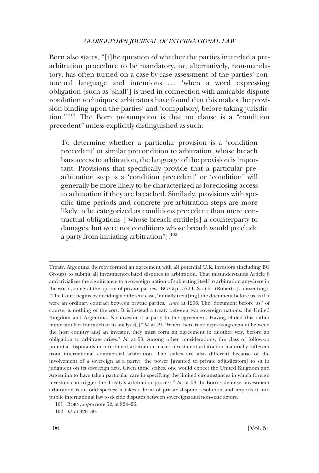Born also states, "[t]he question of whether the parties intended a prearbitration procedure to be mandatory, or, alternatively, non-mandatory, has often turned on a case-by-case assessment of the parties' contractual language and intentions . . . 'when a word expressing obligation [such as 'shall'] is used in connection with amicable dispute resolution techniques, arbitrators have found that this makes the provision binding upon the parties' and 'compulsory, before taking jurisdiction.'"101 The Born presumption is that no clause is a "condition precedent" unless explicitly distinguished as such:

To determine whether a particular provision is a 'condition precedent' or similar precondition to arbitration, whose breach bars access to arbitration, the language of the provision is important. Provisions that specifcally provide that a particular prearbitration step is a 'condition precedent' or 'condition' will generally be more likely to be characterized as foreclosing access to arbitration if they are breached. Similarly, provisions with specifc time periods and concrete pre-arbitration steps are more likely to be categorized as conditions precedent than mere contractual obligations ["whose breach entitle[s] a counterparty to damages, but were not conditions whose breach would preclude a party from initiating arbitration"].<sup>102</sup>

Treaty, Argentina thereby formed an agreement with all potential U.K. investors (including BG Group) to submit all investment-related disputes to arbitration. That misunderstands Article 8 and trivializes the signifcance to a sovereign nation of subjecting itself to arbitration anywhere in the world, solely at the option of private parties." BG Grp., 572 U.S. at 51 (Roberts, J., dissenting). "The Court begins by deciding a different case, 'initially treat[ing] the document before us as if it were an ordinary contract between private parties.' *Ante*, at 1206. The 'document before us,' of course, is nothing of the sort. It is instead a treaty between two sovereign nations: the United Kingdom and Argentina. No investor is a party to the agreement. Having elided this rather important fact for much of its analysis[.]" *Id*. at 49. "When there is no express agreement between the host country and an investor, they must form an agreement in another way, before an obligation to arbitrate arises." *Id*. at 50. Among other considerations, the class of follow-on potential disputants in investment arbitration makes investment arbitration materially different from international commercial arbitration. The stakes are also different because of the involvement of a sovereign as a party: "the power [granted to private adjudicators] to sit in judgment on its sovereign acts. Given these stakes, one would expect the United Kingdom and Argentina to have taken particular care in specifying the limited circumstances in which foreign investors can trigger the Treaty's arbitration process." *Id*. at 58. In Born's defense, investment arbitration is an odd species: it takes a form of private dispute resolution and imports it into public international law to decide disputes between sovereigns and non-state actors.

<sup>101.</sup> BORN, *supra* note 52, at 924–26.

<sup>102.</sup> *Id*. at 929–30.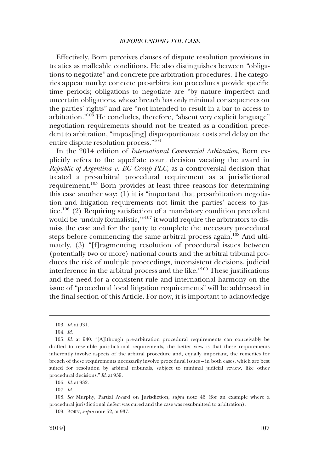Effectively, Born perceives clauses of dispute resolution provisions in treaties as malleable conditions. He also distinguishes between "obligations to negotiate" and concrete pre-arbitration procedures. The categories appear murky: concrete pre-arbitration procedures provide specifc time periods; obligations to negotiate are "by nature imperfect and uncertain obligations, whose breach has only minimal consequences on the parties' rights" and are "not intended to result in a bar to access to arbitration."103 He concludes, therefore, "absent very explicit language" negotiation requirements should not be treated as a condition precedent to arbitration, "impos[ing] disproportionate costs and delay on the entire dispute resolution process."104

In the 2014 edition of *International Commercial Arbitration*, Born explicitly refers to the appellate court decision vacating the award in *Republic of Argentina v. BG Group PLC*, as a controversial decision that treated a pre-arbitral procedural requirement as a jurisdictional requirement.105 Born provides at least three reasons for determining this case another way: (1) it is "important that pre-arbitration negotiation and litigation requirements not limit the parties' access to justice.<sup>106</sup> (2) Requiring satisfaction of a mandatory condition precedent would be 'unduly formalistic,'"<sup>107</sup> it would require the arbitrators to dismiss the case and for the party to complete the necessary procedural steps before commencing the same arbitral process again.<sup>108</sup> And ultimately, (3) "[f]ragmenting resolution of procedural issues between (potentially two or more) national courts and the arbitral tribunal produces the risk of multiple proceedings, inconsistent decisions, judicial interference in the arbitral process and the like."109 These justifcations and the need for a consistent rule and international harmony on the issue of "procedural local litigation requirements" will be addressed in the fnal section of this Article. For now, it is important to acknowledge

<sup>103.</sup> *Id*. at 931.

<sup>104.</sup> *Id*.

<sup>105.</sup> *Id*. at 940. "[A]lthough pre-arbitration procedural requirements can conceivably be drafted to resemble jurisdictional requirements, the better view is that these requirements inherently involve aspects of the arbitral procedure and, equally important, the remedies for breach of these requirements necessarily involve procedural issues – in both cases, which are best suited for resolution by arbitral tribunals, subject to minimal judicial review, like other procedural decisions." *Id*. at 939.

<sup>106.</sup> *Id*. at 932.

<sup>107.</sup> *Id*.

<sup>108.</sup> *See* Murphy, Partial Award on Jurisdiction, *supra* note 46 (for an example where a procedural jurisdictional defect was cured and the case was resubmitted to arbitration).

<sup>109.</sup> BORN, *supra* note 52, at 937.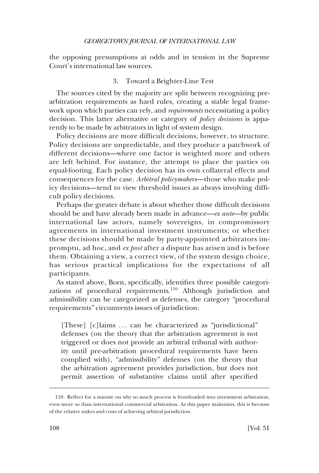<span id="page-27-0"></span>the opposing presumptions at odds and in tension in the Supreme Court's international law sources.

## 3. Toward a Brighter-Line Test

The sources cited by the majority are split between recognizing prearbitration requirements as hard rules, creating a stable legal framework upon which parties can rely, and *requirements* necessitating a policy decision. This latter alternative or category of *policy decisions* is apparently to be made by arbitrators in light of system design.

Policy decisions are more diffcult decisions, however, to structure. Policy decisions are unpredictable, and they produce a patchwork of different decisions—where one factor is weighted more and others are left behind. For instance, the attempt to place the parties on equal-footing. Each policy decision has its own collateral effects and consequences for the case. *Arbitral policymakers*—those who make policy decisions—tend to view threshold issues as always involving diffcult policy decisions.

Perhaps the greater debate is about whether those difficult decisions should be and have already been made in advance—*ex ante*—by public international law actors, namely sovereigns, in compromissory agreements in international investment instruments; or whether these decisions should be made by party-appointed arbitrators impromptu, ad hoc, and *ex post* after a dispute has arisen and is before them. Obtaining a view, a correct view, of the system design choice, has serious practical implications for the expectations of all participants.

As stated above, Born, specifcally, identifes three possible categorizations of procedural requirements.<sup>110</sup> Although jurisdiction and admissibility can be categorized as defenses, the category "procedural requirements" circumvents issues of jurisdiction:

[These] [c]laims ... can be characterized as "jurisdictional" defenses (on the theory that the arbitration agreement is not triggered or does not provide an arbitral tribunal with authority until pre-arbitration procedural requirements have been complied with), "admissibility" defenses (on the theory that the arbitration agreement provides jurisdiction, but does not permit assertion of substantive claims until after specifed

<sup>110.</sup> Refect for a minute on why so much process is frontloaded into investment arbitration, even more so than international commercial arbitration. As this paper maintains, this is because of the relative stakes and costs of achieving arbitral jurisdiction.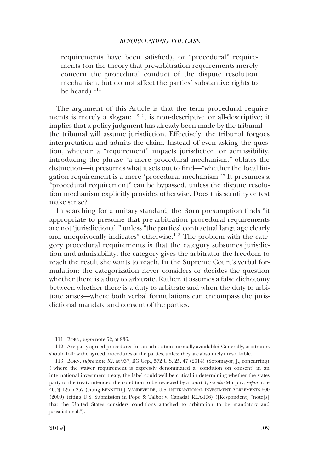requirements have been satisfed), or "procedural" requirements (on the theory that pre-arbitration requirements merely concern the procedural conduct of the dispute resolution mechanism, but do not affect the parties' substantive rights to be heard). $111$ 

The argument of this Article is that the term procedural requirements is merely a slogan;<sup>112</sup> it is non-descriptive or all-descriptive; it implies that a policy judgment has already been made by the tribunal the tribunal will assume jurisdiction. Effectively, the tribunal forgoes interpretation and admits the claim. Instead of even asking the question, whether a "requirement" impacts jurisdiction or admissibility, introducing the phrase "a mere procedural mechanism," oblates the distinction—it presumes what it sets out to fnd—"whether the local litigation requirement is a mere 'procedural mechanism.'" It presumes a "procedural requirement" can be bypassed, unless the dispute resolution mechanism explicitly provides otherwise. Does this scrutiny or test make sense?

In searching for a unitary standard, the Born presumption fnds "it appropriate to presume that pre-arbitration procedural requirements are not 'jurisdictional'" unless "the parties' contractual language clearly and unequivocally indicates" otherwise.<sup>113</sup> The problem with the category procedural requirements is that the category subsumes jurisdiction and admissibility; the category gives the arbitrator the freedom to reach the result she wants to reach. In the Supreme Court's verbal formulation: the categorization never considers or decides the question whether there is a duty to arbitrate. Rather, it assumes a false dichotomy between whether there is a duty to arbitrate and when the duty to arbitrate arises—where both verbal formulations can encompass the jurisdictional mandate and consent of the parties.

<sup>111.</sup> BORN, *supra* note 52, at 936.

<sup>112.</sup> Are party agreed procedures for an arbitration normally avoidable? Generally, arbitrators should follow the agreed procedures of the parties, unless they are absolutely unworkable.

<sup>113.</sup> BORN, *supra* note 52, at 937; BG Grp., 572 U.S. 25, 47 (2014) (Sotomayor, J., concurring) ("where the waiver requirement is expressly denominated a 'condition on consent' in an international investment treaty, the label could well be critical in determining whether the states party to the treaty intended the condition to be reviewed by a court"); *see also* Murphy, *supra* note 46, ¶ 125 n.257 (citing KENNETH J. VANDEVELDE, U.S. INTERNATIONAL INVESTMENT AGREEMENTS 600 (2009) (citing U.S. Submission in Pope & Talbot v. Canada) RLA-196) ([Respondent] "note[s] that the United States considers conditions attached to arbitration to be mandatory and jurisdictional.").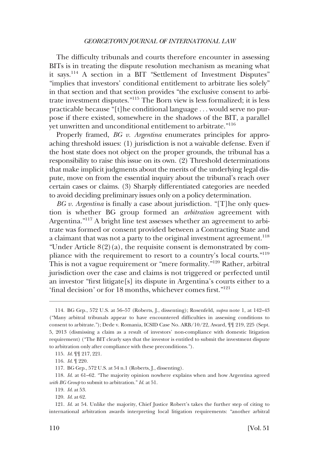The diffculty tribunals and courts therefore encounter in assessing BITs is in treating the dispute resolution mechanism as meaning what it says.114 A section in a BIT "Settlement of Investment Disputes" "implies that investors' conditional entitlement to arbitrate lies solely" in that section and that section provides "the exclusive consent to arbitrate investment disputes."115 The Born view is less formalized; it is less practicable because "[t]he conditional language . . . would serve no purpose if there existed, somewhere in the shadows of the BIT, a parallel yet unwritten and unconditional entitlement to arbitrate."<sup>116</sup>

Properly framed, *BG v. Argentina* enumerates principles for approaching threshold issues: (1) jurisdiction is not a waivable defense. Even if the host state does not object on the proper grounds, the tribunal has a responsibility to raise this issue on its own. (2) Threshold determinations that make implicit judgments about the merits of the underlying legal dispute, move on from the essential inquiry about the tribunal's reach over certain cases or claims. (3) Sharply differentiated categories are needed to avoid deciding preliminary issues only on a policy determination.

*BG v. Argentina* is fnally a case about jurisdiction. "[T]he only question is whether BG group formed an *arbitration* agreement with Argentina."117 A bright line test assesses whether an agreement to arbitrate was formed or consent provided between a Contracting State and a claimant that was not a party to the original investment agreement.<sup>118</sup> "Under Article  $8(2)(a)$ , the requisite consent is demonstrated by compliance with the requirement to resort to a country's local courts."<sup>119</sup> This is not a vague requirement or "mere formality."<sup>120</sup> Rather, arbitral jurisdiction over the case and claims is not triggered or perfected until an investor "frst litigate[s] its dispute in Argentina's courts either to a 'fnal decision' or for 18 months, whichever comes frst."<sup>121</sup>

<sup>114.</sup> BG Grp., 572 U.S. at 56–57 (Roberts, J., dissenting); Rosenfeld, *supra* note 1, at 142–43 ("Many arbitral tribunals appear to have encountered diffculties in assessing conditions to consent to arbitrate."); Dede v. Romania, ICSID Case No. ARB/10/22, Award, ¶¶ 219, 225 (Sept. 5, 2013 (dismissing a claim as a result of investors' non-compliance with domestic litigation requirement) ("The BIT clearly says that the investor is entitled to submit the investment dispute to arbitration only after compliance with these preconditions.").

<sup>115.</sup> *Id*. ¶¶ 217, 221.

<sup>116.</sup> *Id*. ¶ 220.

<sup>117.</sup> BG Grp., 572 U.S. at 54 n.1 (Roberts, J., dissenting).

<sup>118.</sup> *Id*. at 61–62. "The majority opinion nowhere explains when and how Argentina agreed *with BG Group* to submit to arbitration." *Id*. at 51.

<sup>119.</sup> *Id*. at 53.

<sup>120.</sup> *Id*. at 62.

<sup>121.</sup> *Id*. at 54. Unlike the majority, Chief Justice Robert's takes the further step of citing to international arbitration awards interpreting local litigation requirements: "another arbitral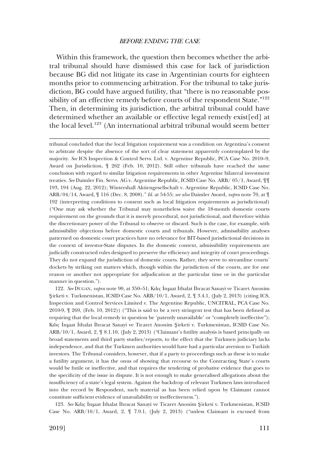Within this framework, the question then becomes whether the arbitral tribunal should have dismissed this case for lack of jurisdiction because BG did not litigate its case in Argentinian courts for eighteen months prior to commencing arbitration. For the tribunal to take jurisdiction, BG could have argued futility, that "there is no reasonable possibility of an effective remedy before courts of the respondent State."<sup>122</sup> Then, in determining its jurisdiction, the arbitral tribunal could have determined whether an available or effective legal remedy exist[ed] at the local level.123 (An international arbitral tribunal would seem better

tribunal concluded that the local litigation requirement was a condition on Argentina's consent to arbitrate despite the absence of the sort of clear statement apparently contemplated by the majority. *See* ICS Inspection & Control Servs. Ltd. v. Argentine Republic, PCA Case No. 2010–9, Award on Jurisdiction, ¶ 262 (Feb. 10, 2012). Still other tribunals have reached the same conclusion with regard to similar litigation requirements in other Argentine bilateral investment treaties. *See* Daimler Fin. Servs. AG v. Argentine Republic, ICSID Case No. ARB/ 05/1, Award, ¶¶ 193, 194 (Aug. 22, 2012); Wintershall Aktiengesellschaft v. Argentine Republic, ICSID Case No. ARB/04/14, Award, ¶ 116 (Dec. 8, 2008)." *Id*. at 54-55; *see also* Daimler Award, *supra* note 70, at ¶ 192 (interpreting conditions to consent such as local litigation requirements as jurisdictional) ("One may ask whether the Tribunal may nonetheless waive the 18-month domestic courts requirement on the grounds that it is merely procedural, not jurisdictional, and therefore within the discretionary power of the Tribunal to observe or discard. Such is the case, for example, with admissibility objections before domestic courts and tribunals. However, admissibility analyses patterned on domestic court practices have no relevance for BIT-based jurisdictional decisions in the context of investor-State disputes. In the domestic context, admissibility requirements are judicially constructed rules designed to preserve the efficiency and integrity of court proceedings. They do not expand the jurisdiction of domestic courts. Rather, they serve to streamline courts' dockets by striking out matters which, though within the jurisdiction of the courts, are for one reason or another not appropriate for adjudication at the particular time or in the particular manner in question.").

122. See DUGAN, *supra* note 90, at 350–51; Kılıç İnşaat İthalat İhracat Sanayi ve Ticaret Anonim **�**Sirketi v. Turkmenistan, ICSID Case No. ARB/10/1, Award, 2, ¶ 3.4.1, (July 2, 2013) (citing ICS, Inspection and Control Services Limited v. The Argentine Republic, UNCITRAL, PCA Case No. 2010-9, ¶ 269, (Feb. 10, 2012)) ("This is said to be a very stringent test that has been defned as requiring that the local remedy in question be 'patently unavailable' or "completely ineffective"); Kılıç İnşaat İthalat İhracat Sanayi ve Ticaret Anonim Şirketi v. Turkmenistan, ICSID Case No. ARB/10/1, Award, 2, ¶ 8.1.10, (July 2, 2013) ("Claimant's futility analysis is based principally on broad statements and third party studies/reports, to the effect that the Turkmen judiciary lacks independence, and that the Turkmen authorities would have had a particular aversion to Turkish investors. The Tribunal considers, however, that if a party to proceedings such as these is to make a futility argument, it has the onus of showing that recourse to the Contracting State's courts would be futile or ineffective, and that requires the tendering of probative evidence that goes to the specifcity of the issue in dispute. It is not enough to make generalised allegations about the insuffciency of a state's legal system. Against the backdrop of relevant Turkmen laws introduced into the record by Respondent, such material as has been relied upon by Claimant cannot constitute sufficient evidence of unavailability or ineffectiveness.").

123. See Kılıç İnşaat İthalat İhracat Sanayi ve Ticaret Anonim Şirketi v. Turkmenistan, ICSID Case No. ARB/10/1, Award, 2, ¶ 7.9.1, (July 2, 2013) ("unless Claimant is excused from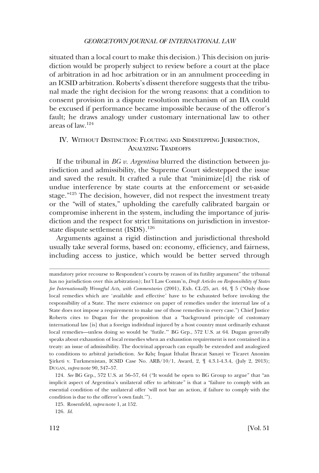<span id="page-31-0"></span>situated than a local court to make this decision.) This decision on jurisdiction would be properly subject to review before a court at the place of arbitration in ad hoc arbitration or in an annulment proceeding in an ICSID arbitration. Roberts's dissent therefore suggests that the tribunal made the right decision for the wrong reasons: that a condition to consent provision in a dispute resolution mechanism of an IIA could be excused if performance became impossible because of the offeror's fault; he draws analogy under customary international law to other areas of law.124

## IV. WITHOUT DISTINCTION: FLOUTING AND SIDESTEPPING JURISDICTION, ANALYZING TRADEOFFS

If the tribunal in *BG v. Argentina* blurred the distinction between jurisdiction and admissibility, the Supreme Court sidestepped the issue and saved the result. It crafted a rule that "minimize[d] the risk of undue interference by state courts at the enforcement or set-aside stage."125 The decision, however, did not respect the investment treaty or the "will of states," upholding the carefully calibrated bargain or compromise inherent in the system, including the importance of jurisdiction and the respect for strict limitations on jurisdiction in investorstate dispute settlement (ISDS).<sup>126</sup>

Arguments against a rigid distinction and jurisdictional threshold usually take several forms, based on: economy, effciency, and fairness, including access to justice, which would be better served through

mandatory prior recourse to Respondent's courts by reason of its futility argument" the tribunal has no jurisdiction over this arbitration); Int'l Law Comm'n, *Draft Articles on Responsibility of States for Internationally Wrongful Acts, with Commentaries* (2001), Exh. CL-25, art. 44, ¶ 5 ("Only those local remedies which are 'available and effective' have to be exhausted before invoking the responsibility of a State. The mere existence on paper of remedies under the internal law of a State does not impose a requirement to make use of those remedies in every case.") Chief Justice Roberts cites to Dugan for the proposition that a "background principle of customary international law [is] that a foreign individual injured by a host country must ordinarily exhaust local remedies—unless doing so would be "futile."' BG Grp., 572 U.S. at 64. Dugan generally speaks about exhaustion of local remedies when an exhaustion requirement is not contained in a treaty: an issue of admissibility. The doctrinal approach can equally be extended and analogized to conditions to arbitral jurisdiction. See Kılıç İnşaat İthalat İhracat Sanayi ve Ticaret Anonim **�**Sirketi v. Turkmenistan, ICSID Case No. ARB/10/1, Award, 2, ¶ 4.3.1-4.3.4, (July 2, 2013); DUGAN, *supra* note 90, 347–57.

<sup>124.</sup> *See* BG Grp., 572 U.S. at 56–57, 64 ("It would be open to BG Group to argue" that "an implicit aspect of Argentina's unilateral offer to arbitrate" is that a "failure to comply with an essential condition of the unilateral offer 'will not bar an action, if failure to comply with the condition is due to the offeror's own fault.'").

<sup>125.</sup> Rosenfeld, *supra* note 1, at 152.

<sup>126.</sup> *Id*.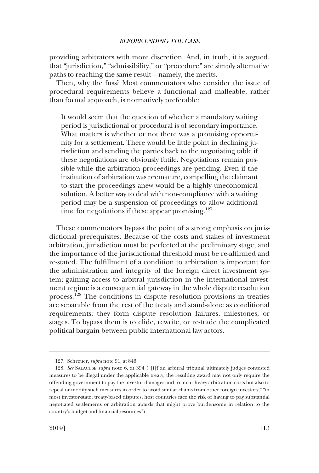providing arbitrators with more discretion. And, in truth, it is argued, that "jurisdiction," "admissibility," or "procedure" are simply alternative paths to reaching the same result—namely, the merits.

Then, why the fuss? Most commentators who consider the issue of procedural requirements believe a functional and malleable, rather than formal approach, is normatively preferable:

It would seem that the question of whether a mandatory waiting period is jurisdictional or procedural is of secondary importance. What matters is whether or not there was a promising opportunity for a settlement. There would be little point in declining jurisdiction and sending the parties back to the negotiating table if these negotiations are obviously futile. Negotiations remain possible while the arbitration proceedings are pending. Even if the institution of arbitration was premature, compelling the claimant to start the proceedings anew would be a highly uneconomical solution. A better way to deal with non-compliance with a waiting period may be a suspension of proceedings to allow additional time for negotiations if these appear promising.<sup>127</sup>

These commentators bypass the point of a strong emphasis on jurisdictional prerequisites. Because of the costs and stakes of investment arbitration, jurisdiction must be perfected at the preliminary stage, and the importance of the jurisdictional threshold must be re-affrmed and re-stated. The fulfllment of a condition to arbitration is important for the administration and integrity of the foreign direct investment system; gaining access to arbitral jurisdiction in the international investment regime is a consequential gateway in the whole dispute resolution process.128 The conditions in dispute resolution provisions in treaties are separable from the rest of the treaty and stand-alone as conditional requirements; they form dispute resolution failures, milestones, or stages. To bypass them is to elide, rewrite, or re-trade the complicated political bargain between public international law actors.

<sup>127.</sup> Schreuer, *supra* note 91, at 846.

<sup>128.</sup> *See* SALACUSE *supra* note 6, at 394 ("[i]f an arbitral tribunal ultimately judges contested measures to be illegal under the applicable treaty, the resulting award may not only require the offending government to pay the investor damages and to incur heavy arbitration costs but also to repeal or modify such measures in order to avoid similar claims from other foreign investors;" "in most investor-state, treaty-based disputes, host countries face the risk of having to pay substantial negotiated settlements or arbitration awards that might prove burdensome in relation to the country's budget and fnancial resources").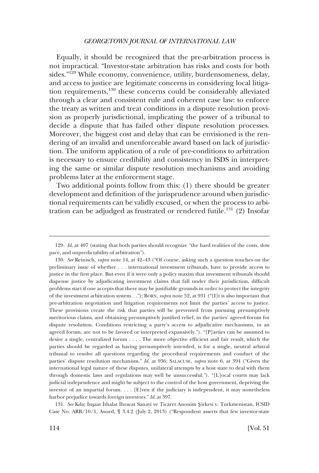Equally, it should be recognized that the pre-arbitration process is not impractical. "Investor-state arbitration has risks and costs for both sides."129 While economy, convenience, utility, burdensomeness, delay, and access to justice are legitimate concerns in considering local litigation requirements,130 these concerns could be considerably alleviated through a clear and consistent rule and coherent case law: to enforce the treaty as written and treat conditions in a dispute resolution provision as properly jurisdictional, implicating the power of a tribunal to decide a dispute that has failed other dispute resolution processes. Moreover, the biggest cost and delay that can be envisioned is the rendering of an invalid and unenforceable award based on lack of jurisdiction. The uniform application of a rule of pre-conditions to arbitration is necessary to ensure credibility and consistency in ISDS in interpreting the same or similar dispute resolution mechanisms and avoiding problems later at the enforcement stage.

Two additional points follow from this: (1) there should be greater development and defnition of the jurisprudence around when jurisdictional requirements can be validly excused, or when the process to arbitration can be adjudged as frustrated or rendered futile.<sup>131</sup> (2) Insofar

131. See Kılıç İnşaat İthalat İhracat Sanayi ve Ticaret Anonim Şirketi v. Turkmenistan, ICSID Case No. ARB/10/1, Award, ¶ 3.4.2 (July 2, 2013) ("Respondent asserts that few investor-state

<sup>129.</sup> *Id*. at 407 (stating that both parties should recognize "the hard realities of the costs, slow pace, and unpredictability of arbitration").

<sup>130.</sup> *See* Reinisch, *supra* note 14, at 42–43 ("Of course, asking such a question touches on the preliminary issue of whether . . . international investment tribunals, have to provide access to justice in the frst place. But even if it were only a policy maxim that investment tribunals should dispense justice by adjudicating investment claims that fall under their jurisdiction, diffcult problems start if one accepts that there may be justifable grounds in order to protect the integrity of the investment arbitration system. . ."); BORN, *supra* note 52, at 931 ("[I]t is also important that pre-arbitration negotiation and litigation requirements not limit the parties' access to justice. These provisions create the risk that parties will be prevented from pursuing presumptively meritorious claims, and obtaining presumptively justifed relief, in the parties' agreed forum for dispute resolution. Conditions restricting a party's access to adjudicative mechanisms, in an agreed forum, are not to be favored or interpreted expansively."). "[P]arties can be assumed to desire a single, centralized forum . . . . The more objective effcient and fair result, which the parties should be regarded as having presumptively intended, is for a single, neutral arbitral tribunal to resolve all questions regarding the procedural requirements and conduct of the parties' dispute resolution mechanism." *Id*. at 936; SALACUSE, *supra* note 6, at 394 ("Given the international legal nature of these disputes, unilateral attempts by a host state to deal with them through domestic laws and regulations may well be unsuccessful."). "[L]ocal courts may lack judicial independence and might be subject to the control of the host government, depriving the investor of an impartial forum. . . . [E]ven if the judiciary is independent, it may nonetheless harbor prejudice towards foreign investors." *Id*. at 397.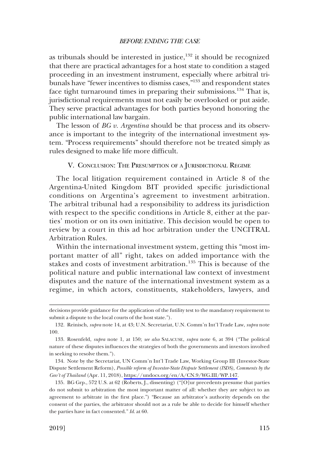<span id="page-34-0"></span>as tribunals should be interested in justice, $132$  it should be recognized that there are practical advantages for a host state to condition a staged proceeding in an investment instrument, especially where arbitral tribunals have "fewer incentives to dismiss cases,"133 and respondent states face tight turnaround times in preparing their submissions.<sup>134</sup> That is, jurisdictional requirements must not easily be overlooked or put aside. They serve practical advantages for both parties beyond honoring the public international law bargain.

The lesson of *BG v. Argentina* should be that process and its observance is important to the integrity of the international investment system. "Process requirements" should therefore not be treated simply as rules designed to make life more diffcult.

#### V. CONCLUSION: THE PRESUMPTION OF A JURISDICTIONAL REGIME

The local litigation requirement contained in Article 8 of the Argentina-United Kingdom BIT provided specifc jurisdictional conditions on Argentina's agreement to investment arbitration. The arbitral tribunal had a responsibility to address its jurisdiction with respect to the specifc conditions in Article 8, either at the parties' motion or on its own initiative. This decision would be open to review by a court in this ad hoc arbitration under the UNCITRAL Arbitration Rules.

Within the international investment system, getting this "most important matter of all" right, takes on added importance with the stakes and costs of investment arbitration.<sup>135</sup> This is because of the political nature and public international law context of investment disputes and the nature of the international investment system as a regime, in which actors, constituents, stakeholders, lawyers, and

decisions provide guidance for the application of the futility test to the mandatory requirement to submit a dispute to the local courts of the host state.").

<sup>132.</sup> Reinisch, *supra* note 14, at 43; U.N. Secretariat, U.N. Comm'n Int'l Trade Law, *supra* note 100.

<sup>133.</sup> Rosenfeld, *supra* note 1, at 150; *see also* SALACUSE, *supra* note 6, at 394 ("The political nature of these disputes infuences the strategies of both the governments and investors involved in seeking to resolve them.").

<sup>134.</sup> Note by the Secretariat, UN Comm'n Int'l Trade Law, Working Group III (Investor-State Dispute Settlement Reform), *Possible reform of Investor-State Dispute Settlement (ISDS), Comments by the Gov't of Thailand* (Apr. 11, 2018), [https://undocs.org/en/A/CN.9/WG.III/WP.147.](https://undocs.org/en/A/CN.9/WG.III/WP.147)

<sup>135.</sup> BG Grp., 572 U.S. at 62 (Roberts, J., dissenting) ("[O]ur precedents presume that parties do not submit to arbitration the most important matter of all: whether they are subject to an agreement to arbitrate in the frst place.") "Because an arbitrator's authority depends on the consent of the parties, the arbitrator should not as a rule be able to decide for himself whether the parties have in fact consented." *Id*. at 60.